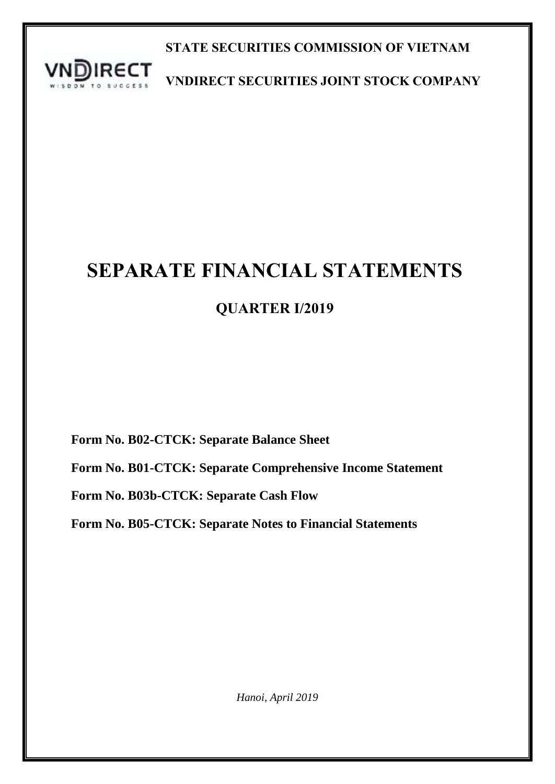

**STATE SECURITIES COMMISSION OF VIETNAM**

**VNDIRECT SECURITIES JOINT STOCK COMPANY**

# **SEPARATE FINANCIAL STATEMENTS**

**QUARTER I/2019**

**Form No. B02-CTCK: Separate Balance Sheet**

**Form No. B01-CTCK: Separate Comprehensive Income Statement**

**Form No. B03b-CTCK: Separate Cash Flow**

**Form No. B05-CTCK: Separate Notes to Financial Statements**

*Hanoi, April 2019*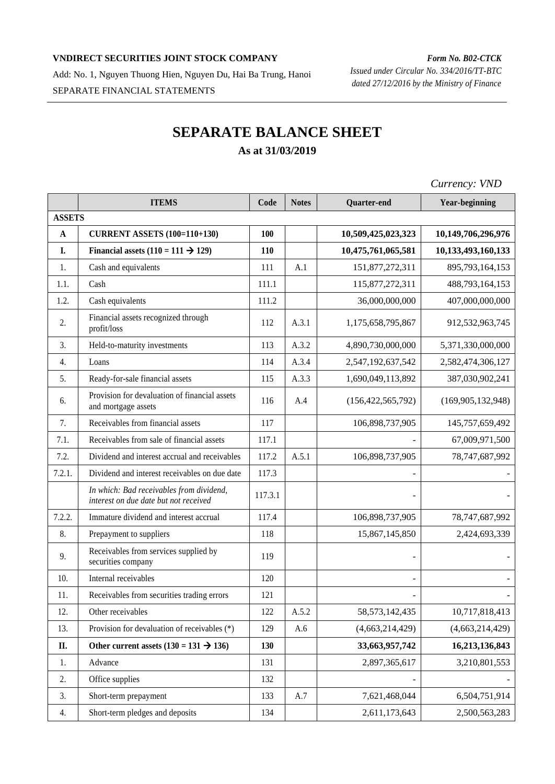Add: No. 1, Nguyen Thuong Hien, Nguyen Du, Hai Ba Trung, Hanoi SEPARATE FINANCIAL STATEMENTS

# *Issued under Circular No. 334/2016/TT-BTC dated 27/12/2016 by the Ministry of Finance*

**SEPARATE BALANCE SHEET**

# **As at 31/03/2019**

|               | <b>ITEMS</b>                                                                      | Code    | <b>Notes</b> | Quarter-end          | Year-beginning       |
|---------------|-----------------------------------------------------------------------------------|---------|--------------|----------------------|----------------------|
| <b>ASSETS</b> |                                                                                   |         |              |                      |                      |
| $\mathbf{A}$  | <b>CURRENT ASSETS (100=110+130)</b>                                               | 100     |              | 10,509,425,023,323   | 10,149,706,296,976   |
| I.            | Financial assets $(110 = 111 \rightarrow 129)$                                    | 110     |              | 10,475,761,065,581   | 10,133,493,160,133   |
| 1.            | Cash and equivalents                                                              | 111     | A.1          | 151,877,272,311      | 895,793,164,153      |
| 1.1.          | Cash                                                                              | 111.1   |              | 115,877,272,311      | 488,793,164,153      |
| 1.2.          | Cash equivalents                                                                  | 111.2   |              | 36,000,000,000       | 407,000,000,000      |
| 2.            | Financial assets recognized through<br>profit/loss                                | 112     | A.3.1        | 1,175,658,795,867    | 912,532,963,745      |
| 3.            | Held-to-maturity investments                                                      | 113     | A.3.2        | 4,890,730,000,000    | 5,371,330,000,000    |
| 4.            | Loans                                                                             | 114     | A.3.4        | 2,547,192,637,542    | 2,582,474,306,127    |
| 5.            | Ready-for-sale financial assets                                                   | 115     | A.3.3        | 1,690,049,113,892    | 387,030,902,241      |
| 6.            | Provision for devaluation of financial assets<br>and mortgage assets              | 116     | A.4          | (156, 422, 565, 792) | (169, 905, 132, 948) |
| 7.            | Receivables from financial assets                                                 | 117     |              | 106,898,737,905      | 145,757,659,492      |
| 7.1.          | Receivables from sale of financial assets                                         | 117.1   |              |                      | 67,009,971,500       |
| 7.2.          | Dividend and interest accrual and receivables                                     | 117.2   | A.5.1        | 106,898,737,905      | 78,747,687,992       |
| 7.2.1.        | Dividend and interest receivables on due date                                     | 117.3   |              |                      |                      |
|               | In which: Bad receivables from dividend,<br>interest on due date but not received | 117.3.1 |              |                      |                      |
| 7.2.2.        | Immature dividend and interest accrual                                            | 117.4   |              | 106,898,737,905      | 78,747,687,992       |
| 8.            | Prepayment to suppliers                                                           | 118     |              | 15,867,145,850       | 2,424,693,339        |
| 9.            | Receivables from services supplied by<br>securities company                       | 119     |              |                      |                      |
| 10.           | Internal receivables                                                              | 120     |              |                      |                      |
| 11.           | Receivables from securities trading errors                                        | 121     |              |                      |                      |
| 12.           | Other receivables                                                                 | 122     | A.5.2        | 58, 573, 142, 435    | 10,717,818,413       |
| 13.           | Provision for devaluation of receivables (*)                                      | 129     | A.6          | (4,663,214,429)      | (4,663,214,429)      |
| II.           | Other current assets $(130 = 131 \div 136)$                                       | 130     |              | 33,663,957,742       | 16,213,136,843       |
| 1.            | Advance                                                                           | 131     |              | 2,897,365,617        | 3,210,801,553        |
| 2.            | Office supplies                                                                   | 132     |              |                      |                      |
| 3.            | Short-term prepayment                                                             | 133     | A.7          | 7,621,468,044        | 6,504,751,914        |
| 4.            | Short-term pledges and deposits                                                   | 134     |              | 2,611,173,643        | 2,500,563,283        |

*Currency: VND*

*Form No. B02-CTCK*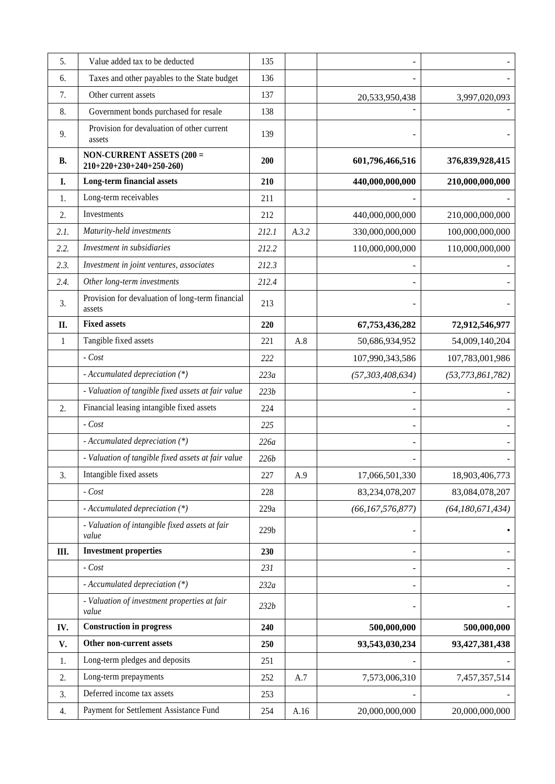| 5.           | Value added tax to be deducted                                | 135          |       |                          |                     |
|--------------|---------------------------------------------------------------|--------------|-------|--------------------------|---------------------|
| 6.           | Taxes and other payables to the State budget                  | 136          |       |                          |                     |
| 7.           | Other current assets                                          | 137          |       | 20,533,950,438           | 3,997,020,093       |
| 8.           | Government bonds purchased for resale                         | 138          |       |                          |                     |
| 9.           | Provision for devaluation of other current<br>assets          | 139          |       |                          |                     |
| <b>B.</b>    | <b>NON-CURRENT ASSETS (200 =</b><br>$210+220+230+240+250-260$ | 200          |       | 601,796,466,516          | 376,839,928,415     |
| I.           | Long-term financial assets                                    | 210          |       | 440,000,000,000          | 210,000,000,000     |
| 1.           | Long-term receivables                                         | 211          |       |                          |                     |
| 2.           | Investments                                                   | 212          |       | 440,000,000,000          | 210,000,000,000     |
| 2.1.         | Maturity-held investments                                     | 212.1        | A.3.2 | 330,000,000,000          | 100,000,000,000     |
| 2.2.         | Investment in subsidiaries                                    | 212.2        |       | 110,000,000,000          | 110,000,000,000     |
| 2.3.         | Investment in joint ventures, associates                      | 212.3        |       |                          |                     |
| 2.4.         | Other long-term investments                                   | 212.4        |       |                          |                     |
| 3.           | Provision for devaluation of long-term financial<br>assets    | 213          |       |                          |                     |
| П.           | <b>Fixed assets</b>                                           | 220          |       | 67,753,436,282           | 72,912,546,977      |
| $\mathbf{1}$ | Tangible fixed assets                                         | 221          | A.8   | 50,686,934,952           | 54,009,140,204      |
|              | $-Cost$                                                       | 222          |       | 107,990,343,586          | 107,783,001,986     |
|              | - Accumulated depreciation (*)                                | 223a         |       | (57, 303, 408, 634)      | (53, 773, 861, 782) |
|              | - Valuation of tangible fixed assets at fair value            | 223b         |       |                          |                     |
| 2.           | Financial leasing intangible fixed assets                     | 224          |       |                          |                     |
|              | $-Cost$                                                       | 225          |       | $\overline{a}$           |                     |
|              | - Accumulated depreciation (*)                                | 226a         |       |                          |                     |
|              | - Valuation of tangible fixed assets at fair value            | 226 <i>b</i> |       |                          |                     |
| 3.           | Intangible fixed assets                                       | 227          | A.9   | 17,066,501,330           | 18,903,406,773      |
|              | $-Cost$                                                       | 228          |       | 83,234,078,207           | 83,084,078,207      |
|              | - Accumulated depreciation (*)                                | 229a         |       | (66, 167, 576, 877)      | (64, 180, 671, 434) |
|              | - Valuation of intangible fixed assets at fair<br>value       | 229b         |       |                          |                     |
| III.         | <b>Investment properties</b>                                  | 230          |       |                          |                     |
|              | $-Cost$                                                       | 231          |       |                          |                     |
|              | - Accumulated depreciation (*)                                | 232a         |       | $\overline{\phantom{a}}$ |                     |
|              | - Valuation of investment properties at fair<br>value         | 232b         |       |                          |                     |
| IV.          | <b>Construction in progress</b>                               | 240          |       | 500,000,000              | 500,000,000         |
| V.           | Other non-current assets                                      | 250          |       | 93,543,030,234           | 93,427,381,438      |
| 1.           | Long-term pledges and deposits                                | 251          |       |                          |                     |
| 2.           | Long-term prepayments                                         | 252          | A.7   | 7,573,006,310            | 7,457,357,514       |
| 3.           | Deferred income tax assets                                    | 253          |       |                          |                     |
| 4.           | Payment for Settlement Assistance Fund                        | 254          | A.16  | 20,000,000,000           | 20,000,000,000      |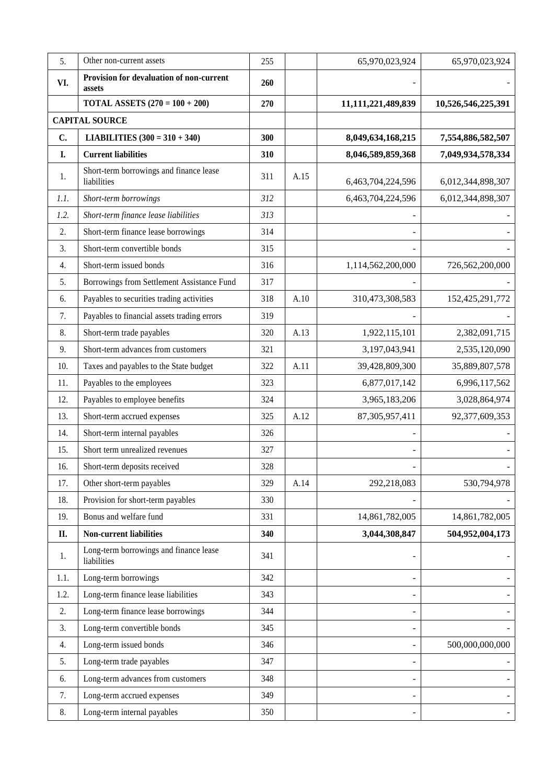| 5.               | Other non-current assets                               | 255 |      | 65,970,023,924     | 65,970,023,924     |
|------------------|--------------------------------------------------------|-----|------|--------------------|--------------------|
| VI.              | Provision for devaluation of non-current<br>assets     | 260 |      |                    |                    |
|                  | <b>TOTAL ASSETS</b> $(270 = 100 + 200)$                | 270 |      | 11,111,221,489,839 | 10,526,546,225,391 |
|                  | <b>CAPITAL SOURCE</b>                                  |     |      |                    |                    |
| C.               | <b>LIABILITIES</b> $(300 = 310 + 340)$                 | 300 |      | 8,049,634,168,215  | 7,554,886,582,507  |
| I.               | <b>Current liabilities</b>                             | 310 |      | 8,046,589,859,368  | 7,049,934,578,334  |
| 1.               | Short-term borrowings and finance lease<br>liabilities | 311 | A.15 | 6,463,704,224,596  | 6,012,344,898,307  |
| 1.1.             | Short-term borrowings                                  | 312 |      | 6,463,704,224,596  | 6,012,344,898,307  |
| 1.2.             | Short-term finance lease liabilities                   | 313 |      |                    |                    |
| 2.               | Short-term finance lease borrowings                    | 314 |      |                    |                    |
| 3.               | Short-term convertible bonds                           | 315 |      |                    |                    |
| $\overline{4}$ . | Short-term issued bonds                                | 316 |      | 1,114,562,200,000  | 726,562,200,000    |
| 5.               | Borrowings from Settlement Assistance Fund             | 317 |      |                    |                    |
| 6.               | Payables to securities trading activities              | 318 | A.10 | 310,473,308,583    | 152,425,291,772    |
| 7.               | Payables to financial assets trading errors            | 319 |      |                    |                    |
| 8.               | Short-term trade payables                              | 320 | A.13 | 1,922,115,101      | 2,382,091,715      |
| 9.               | Short-term advances from customers                     | 321 |      | 3,197,043,941      | 2,535,120,090      |
| 10.              | Taxes and payables to the State budget                 | 322 | A.11 | 39,428,809,300     | 35,889,807,578     |
| 11.              | Payables to the employees                              | 323 |      | 6,877,017,142      | 6,996,117,562      |
| 12.              | Payables to employee benefits                          | 324 |      | 3,965,183,206      | 3,028,864,974      |
| 13.              | Short-term accrued expenses                            | 325 | A.12 | 87,305,957,411     | 92,377,609,353     |
| 14.              | Short-term internal payables                           | 326 |      |                    |                    |
| 15.              | Short term unrealized revenues                         | 327 |      |                    |                    |
| 16.              | Short-term deposits received                           | 328 |      |                    |                    |
| 17.              | Other short-term payables                              | 329 | A.14 | 292,218,083        | 530,794,978        |
| 18.              | Provision for short-term payables                      | 330 |      |                    |                    |
| 19.              | Bonus and welfare fund                                 | 331 |      | 14,861,782,005     | 14,861,782,005     |
| П.               | <b>Non-current liabilities</b>                         | 340 |      | 3,044,308,847      | 504,952,004,173    |
| 1.               | Long-term borrowings and finance lease<br>liabilities  | 341 |      |                    |                    |
| 1.1.             | Long-term borrowings                                   | 342 |      |                    |                    |
| 1.2.             | Long-term finance lease liabilities                    | 343 |      |                    |                    |
| 2.               | Long-term finance lease borrowings                     | 344 |      |                    |                    |
| 3.               | Long-term convertible bonds                            | 345 |      |                    |                    |
| 4.               | Long-term issued bonds                                 | 346 |      |                    | 500,000,000,000    |
| 5.               | Long-term trade payables                               | 347 |      |                    |                    |
| 6.               | Long-term advances from customers                      | 348 |      |                    |                    |
| 7.               | Long-term accrued expenses                             | 349 |      |                    |                    |
| 8.               | Long-term internal payables                            | 350 |      |                    |                    |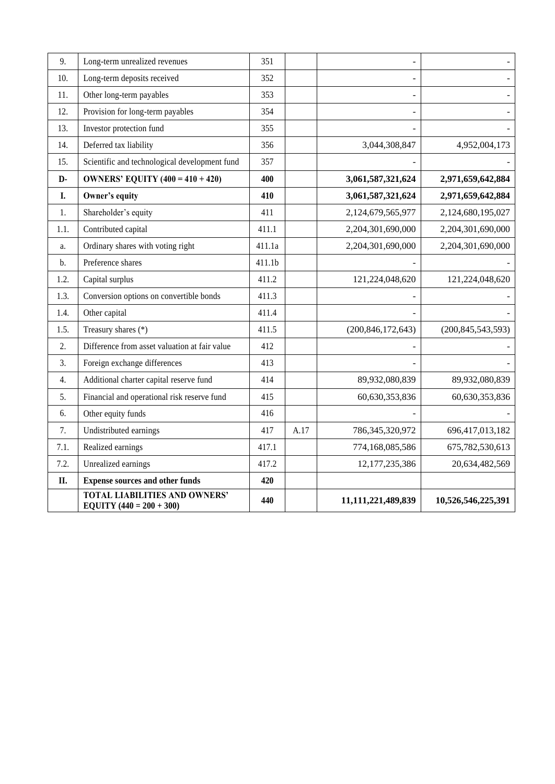| 9.            | Long-term unrealized revenues                               | 351    |      |                      |                      |
|---------------|-------------------------------------------------------------|--------|------|----------------------|----------------------|
| 10.           | Long-term deposits received                                 | 352    |      |                      |                      |
| 11.           | Other long-term payables                                    | 353    |      |                      |                      |
| 12.           | Provision for long-term payables                            | 354    |      |                      |                      |
| 13.           | Investor protection fund                                    | 355    |      |                      |                      |
| 14.           | Deferred tax liability                                      | 356    |      | 3,044,308,847        | 4,952,004,173        |
| 15.           | Scientific and technological development fund               | 357    |      |                      |                      |
| D-            | <b>OWNERS' EQUITY (400 = 410 + 420)</b>                     | 400    |      | 3,061,587,321,624    | 2,971,659,642,884    |
| I.            | Owner's equity                                              | 410    |      | 3,061,587,321,624    | 2,971,659,642,884    |
| 1.            | Shareholder's equity                                        | 411    |      | 2,124,679,565,977    | 2,124,680,195,027    |
| 1.1.          | Contributed capital                                         | 411.1  |      | 2,204,301,690,000    | 2,204,301,690,000    |
| a.            | Ordinary shares with voting right                           | 411.1a |      | 2,204,301,690,000    | 2,204,301,690,000    |
| $\mathbf b$ . | Preference shares                                           | 411.1b |      |                      |                      |
| 1.2.          | Capital surplus                                             | 411.2  |      | 121,224,048,620      | 121,224,048,620      |
| 1.3.          | Conversion options on convertible bonds                     | 411.3  |      |                      |                      |
| 1.4.          | Other capital                                               | 411.4  |      |                      |                      |
| 1.5.          | Treasury shares (*)                                         | 411.5  |      | (200, 846, 172, 643) | (200, 845, 543, 593) |
| 2.            | Difference from asset valuation at fair value               | 412    |      |                      |                      |
| 3.            | Foreign exchange differences                                | 413    |      |                      |                      |
| 4.            | Additional charter capital reserve fund                     | 414    |      | 89,932,080,839       | 89,932,080,839       |
| 5.            | Financial and operational risk reserve fund                 | 415    |      | 60,630,353,836       | 60,630,353,836       |
| 6.            | Other equity funds                                          | 416    |      |                      |                      |
| 7.            | Undistributed earnings                                      | 417    | A.17 | 786, 345, 320, 972   | 696,417,013,182      |
| 7.1.          | Realized earnings                                           | 417.1  |      | 774,168,085,586      | 675,782,530,613      |
| 7.2.          | Unrealized earnings                                         | 417.2  |      | 12,177,235,386       | 20,634,482,569       |
| II.           | <b>Expense sources and other funds</b>                      | 420    |      |                      |                      |
|               | TOTAL LIABILITIES AND OWNERS'<br>EQUITY $(440 = 200 + 300)$ | 440    |      | 11,111,221,489,839   | 10,526,546,225,391   |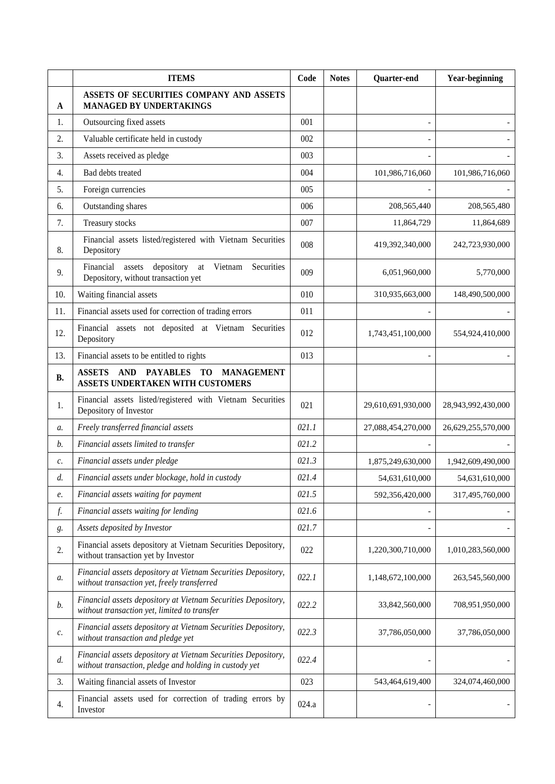|                 | <b>ITEMS</b>                                                                                                            | Code  | <b>Notes</b> | Quarter-end        | <b>Year-beginning</b> |
|-----------------|-------------------------------------------------------------------------------------------------------------------------|-------|--------------|--------------------|-----------------------|
| $\mathbf{A}$    | ASSETS OF SECURITIES COMPANY AND ASSETS<br><b>MANAGED BY UNDERTAKINGS</b>                                               |       |              |                    |                       |
| 1.              | Outsourcing fixed assets                                                                                                | 001   |              |                    |                       |
| 2.              | Valuable certificate held in custody                                                                                    | 002   |              |                    |                       |
| 3.              | Assets received as pledge                                                                                               | 003   |              |                    |                       |
| 4.              | Bad debts treated                                                                                                       | 004   |              | 101,986,716,060    | 101,986,716,060       |
| 5.              | Foreign currencies                                                                                                      | 005   |              |                    |                       |
| 6.              | Outstanding shares                                                                                                      | 006   |              | 208,565,440        | 208,565,480           |
| 7.              | Treasury stocks                                                                                                         | 007   |              | 11,864,729         | 11,864,689            |
| 8.              | Financial assets listed/registered with Vietnam Securities<br>Depository                                                | 008   |              | 419,392,340,000    | 242,723,930,000       |
| 9.              | Financial<br>depository<br>assets<br>Vietnam<br>Securities<br>at<br>Depository, without transaction yet                 | 009   |              | 6,051,960,000      | 5,770,000             |
| 10.             | Waiting financial assets                                                                                                | 010   |              | 310,935,663,000    | 148,490,500,000       |
| 11.             | Financial assets used for correction of trading errors                                                                  | 011   |              |                    |                       |
| 12.             | Financial assets not deposited at Vietnam Securities<br>Depository                                                      | 012   |              | 1,743,451,100,000  | 554,924,410,000       |
| 13.             | Financial assets to be entitled to rights                                                                               | 013   |              |                    |                       |
| <b>B.</b>       | <b>ASSETS</b><br><b>AND</b><br><b>PAYABLES</b><br>TO<br><b>MANAGEMENT</b><br>ASSETS UNDERTAKEN WITH CUSTOMERS           |       |              |                    |                       |
| 1.              | Financial assets listed/registered with Vietnam Securities<br>Depository of Investor                                    | 021   |              | 29,610,691,930,000 | 28,943,992,430,000    |
| a.              | Freely transferred financial assets                                                                                     | 021.1 |              | 27,088,454,270,000 | 26,629,255,570,000    |
| b.              | Financial assets limited to transfer                                                                                    | 021.2 |              |                    |                       |
| $\mathcal{C}$ . | Financial assets under pledge                                                                                           | 021.3 |              | 1,875,249,630,000  | 1,942,609,490,000     |
| d.              | Financial assets under blockage, hold in custody                                                                        | 021.4 |              | 54,631,610,000     | 54,631,610,000        |
| e.              | Financial assets waiting for payment                                                                                    | 021.5 |              | 592,356,420,000    | 317,495,760,000       |
| f.              | Financial assets waiting for lending                                                                                    | 021.6 |              |                    |                       |
| g.              | Assets deposited by Investor                                                                                            | 021.7 |              |                    |                       |
| 2.              | Financial assets depository at Vietnam Securities Depository,<br>without transaction yet by Investor                    | 022   |              | 1,220,300,710,000  | 1,010,283,560,000     |
| a.              | Financial assets depository at Vietnam Securities Depository,<br>without transaction yet, freely transferred            | 022.1 |              | 1,148,672,100,000  | 263,545,560,000       |
| b.              | Financial assets depository at Vietnam Securities Depository,<br>without transaction yet, limited to transfer           | 022.2 |              | 33,842,560,000     | 708,951,950,000       |
| $\mathcal{C}.$  | Financial assets depository at Vietnam Securities Depository,<br>without transaction and pledge yet                     | 022.3 |              | 37,786,050,000     | 37,786,050,000        |
| d.              | Financial assets depository at Vietnam Securities Depository,<br>without transaction, pledge and holding in custody yet | 022.4 |              |                    |                       |
| 3.              | Waiting financial assets of Investor                                                                                    | 023   |              | 543,464,619,400    | 324,074,460,000       |
| 4.              | Financial assets used for correction of trading errors by<br>Investor                                                   | 024.a |              |                    |                       |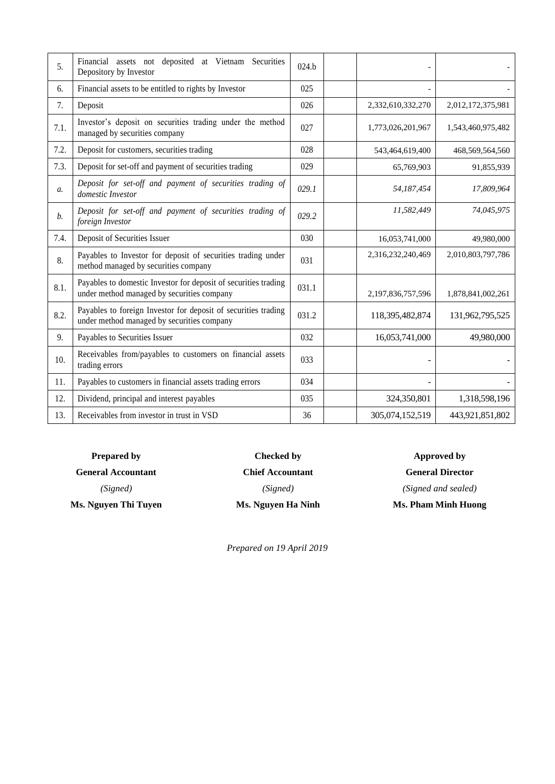| 5.    | Financial assets not deposited at Vietnam Securities<br>Depository by Investor                                | 024.b |                   |                   |
|-------|---------------------------------------------------------------------------------------------------------------|-------|-------------------|-------------------|
| 6.    | Financial assets to be entitled to rights by Investor                                                         | 025   |                   |                   |
| 7.    | Deposit                                                                                                       | 026   | 2,332,610,332,270 | 2,012,172,375,981 |
| 7.1.  | Investor's deposit on securities trading under the method<br>managed by securities company                    | 027   | 1,773,026,201,967 | 1,543,460,975,482 |
| 7.2.  | Deposit for customers, securities trading                                                                     | 028   | 543,464,619,400   | 468,569,564,560   |
| 7.3.  | Deposit for set-off and payment of securities trading                                                         | 029   | 65,769,903        | 91,855,939        |
| $a$ . | Deposit for set-off and payment of securities trading of<br>domestic Investor                                 | 029.1 | 54,187,454        | 17,809,964        |
| b.    | Deposit for set-off and payment of securities trading of<br>foreign Investor                                  | 029.2 | 11,582,449        | 74,045,975        |
| 7.4.  | Deposit of Securities Issuer                                                                                  | 030   | 16,053,741,000    | 49,980,000        |
| 8.    | Payables to Investor for deposit of securities trading under<br>method managed by securities company          | 031   | 2,316,232,240,469 | 2,010,803,797,786 |
| 8.1.  | Payables to domestic Investor for deposit of securities trading<br>under method managed by securities company | 031.1 | 2,197,836,757,596 | 1,878,841,002,261 |
| 8.2.  | Payables to foreign Investor for deposit of securities trading<br>under method managed by securities company  | 031.2 | 118,395,482,874   | 131,962,795,525   |
| 9.    | Payables to Securities Issuer                                                                                 | 032   | 16,053,741,000    | 49,980,000        |
| 10.   | Receivables from/payables to customers on financial assets<br>trading errors                                  | 033   |                   |                   |
| 11.   | Payables to customers in financial assets trading errors                                                      | 034   |                   |                   |
| 12.   | Dividend, principal and interest payables                                                                     | 035   | 324,350,801       | 1,318,598,196     |
| 13.   | Receivables from investor in trust in VSD                                                                     | 36    | 305,074,152,519   | 443,921,851,802   |

# **Prepared by General Accountant** *(Signed)* **Ms. Nguyen Thi Tuyen**

**Checked by Chief Accountant** *(Signed)* **Ms. Nguyen Ha Ninh**

# **Approved by**

**General Director**

*(Signed and sealed)*

**Ms. Pham Minh Huong**

*Prepared on 19 April 2019*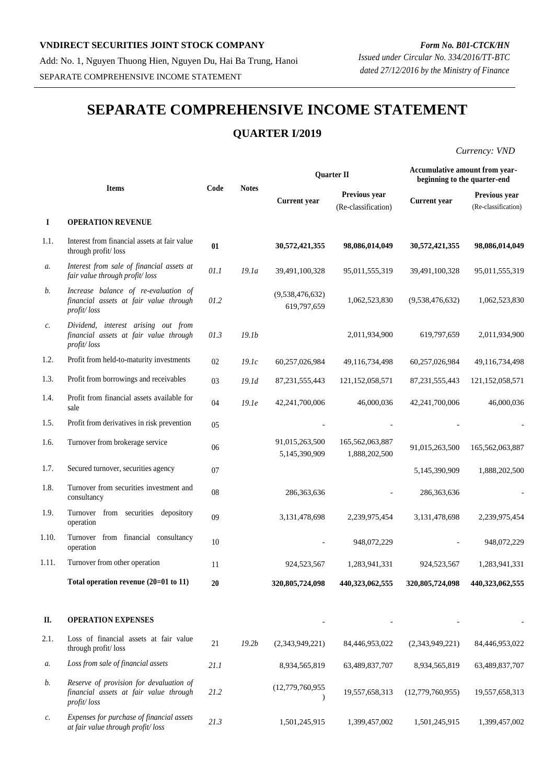Add: No. 1, Nguyen Thuong Hien, Nguyen Du, Hai Ba Trung, Hanoi SEPARATE COMPREHENSIVE INCOME STATEMENT

# **QUARTER I/2019**

*Currency: VND*

|             |                                                                                                  |                      |       |                                 | <b>Quarter II</b>                    | Accumulative amount from year-<br>beginning to the quarter-end |                                      |  |
|-------------|--------------------------------------------------------------------------------------------------|----------------------|-------|---------------------------------|--------------------------------------|----------------------------------------------------------------|--------------------------------------|--|
|             | <b>Items</b>                                                                                     | Code<br><b>Notes</b> |       | <b>Current</b> year             | Previous year<br>(Re-classification) | <b>Current</b> year                                            | Previous year<br>(Re-classification) |  |
| $\mathbf I$ | <b>OPERATION REVENUE</b>                                                                         |                      |       |                                 |                                      |                                                                |                                      |  |
| 1.1.        | Interest from financial assets at fair value<br>through profit/loss                              | 01                   |       | 30,572,421,355                  | 98,086,014,049                       | 30,572,421,355                                                 | 98,086,014,049                       |  |
| a.          | Interest from sale of financial assets at<br>fair value through profit/loss                      | 01.1                 | 19.1a | 39,491,100,328                  | 95,011,555,319                       | 39,491,100,328                                                 | 95,011,555,319                       |  |
| b.          | Increase balance of re-evaluation of<br>financial assets at fair value through<br>profit/loss    | 01.2                 |       | (9,538,476,632)<br>619,797,659  | 1,062,523,830                        | (9,538,476,632)                                                | 1,062,523,830                        |  |
| c.          | Dividend, interest arising out from<br>financial assets at fair value through<br>profit/loss     | 01.3                 | 19.1b |                                 | 2,011,934,900                        | 619,797,659                                                    | 2,011,934,900                        |  |
| 1.2.        | Profit from held-to-maturity investments                                                         | 02                   | 19.1c | 60,257,026,984                  | 49,116,734,498                       | 60,257,026,984                                                 | 49,116,734,498                       |  |
| 1.3.        | Profit from borrowings and receivables                                                           | 03                   | 19.1d | 87, 231, 555, 443               | 121, 152, 058, 571                   | 87, 231, 555, 443                                              | 121,152,058,571                      |  |
| 1.4.        | Profit from financial assets available for<br>sale                                               | 04                   | 19.1e | 42,241,700,006                  | 46,000,036                           | 42,241,700,006                                                 | 46,000,036                           |  |
| 1.5.        | Profit from derivatives in risk prevention                                                       | 05                   |       |                                 |                                      |                                                                |                                      |  |
| 1.6.        | Turnover from brokerage service                                                                  | 06                   |       | 91,015,263,500<br>5,145,390,909 | 165,562,063,887<br>1,888,202,500     | 91,015,263,500                                                 | 165,562,063,887                      |  |
| 1.7.        | Secured turnover, securities agency                                                              | 07                   |       |                                 |                                      | 5,145,390,909                                                  | 1,888,202,500                        |  |
| 1.8.        | Turnover from securities investment and<br>consultancy                                           | 08                   |       | 286, 363, 636                   |                                      | 286,363,636                                                    |                                      |  |
| 1.9.        | Turnover from securities depository<br>operation                                                 | 09                   |       | 3, 131, 478, 698                | 2,239,975,454                        | 3,131,478,698                                                  | 2,239,975,454                        |  |
| 1.10.       | Turnover from financial consultancy<br>operation                                                 | 10                   |       |                                 | 948,072,229                          |                                                                | 948,072,229                          |  |
| 1.11.       | Turnover from other operation                                                                    | 11                   |       | 924,523,567                     | 1,283,941,331                        | 924,523,567                                                    | 1,283,941,331                        |  |
|             | Total operation revenue (20=01 to 11)                                                            | 20                   |       | 320,805,724,098                 | 440,323,062,555                      | 320,805,724,098                                                | 440,323,062,555                      |  |
| П.          | <b>OPERATION EXPENSES</b>                                                                        |                      |       |                                 |                                      |                                                                |                                      |  |
| 2.1.        | Loss of financial assets at fair value<br>through profit/loss                                    | 21                   | 19.2b | (2,343,949,221)                 | 84,446,953,022                       | (2,343,949,221)                                                | 84,446,953,022                       |  |
| a.          | Loss from sale of financial assets                                                               | 21.1                 |       | 8,934,565,819                   | 63,489,837,707                       | 8,934,565,819                                                  | 63,489,837,707                       |  |
| b.          | Reserve of provision for devaluation of<br>financial assets at fair value through<br>profit/loss | 21.2                 |       | (12,779,760,955)                | 19,557,658,313                       | (12,779,760,955)                                               | 19,557,658,313                       |  |
| c.          | Expenses for purchase of financial assets<br>at fair value through profit/loss                   | 21.3                 |       | 1,501,245,915                   | 1,399,457,002                        | 1,501,245,915                                                  | 1,399,457,002                        |  |

*Issued under Circular No. 334/2016/TT-BTC dated 27/12/2016 by the Ministry of Finance*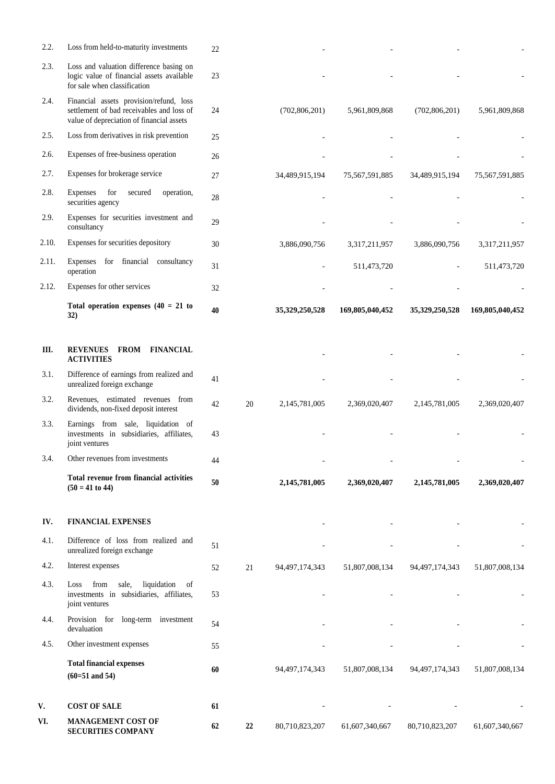| VI.   | <b>MANAGEMENT COST OF</b><br><b>SECURITIES COMPANY</b>                                                                            | 62 | 22 | 80,710,823,207  | 61,607,340,667  | 80,710,823,207   | 61,607,340,667  |
|-------|-----------------------------------------------------------------------------------------------------------------------------------|----|----|-----------------|-----------------|------------------|-----------------|
| V.    | <b>COST OF SALE</b>                                                                                                               | 61 |    |                 |                 |                  |                 |
|       | <b>Total financial expenses</b><br>$(60=51$ and 54)                                                                               | 60 |    | 94,497,174,343  | 51,807,008,134  | 94,497,174,343   | 51,807,008,134  |
| 4.5.  | Other investment expenses                                                                                                         | 55 |    |                 |                 |                  |                 |
| 4.4.  | Provision for long-term investment<br>devaluation                                                                                 | 54 |    |                 |                 |                  |                 |
| 4.3.  | liquidation<br>from<br>sale,<br>of<br>Loss<br>investments in subsidiaries, affiliates,<br>joint ventures                          | 53 |    |                 |                 |                  |                 |
| 4.2.  | Interest expenses                                                                                                                 | 52 | 21 | 94,497,174,343  | 51,807,008,134  | 94,497,174,343   | 51,807,008,134  |
| 4.1.  | Difference of loss from realized and<br>unrealized foreign exchange                                                               | 51 |    |                 |                 |                  |                 |
| IV.   | <b>FINANCIAL EXPENSES</b>                                                                                                         |    |    |                 |                 |                  |                 |
|       | Total revenue from financial activities<br>$(50 = 41$ to 44)                                                                      | 50 |    | 2,145,781,005   | 2,369,020,407   | 2,145,781,005    | 2,369,020,407   |
| 3.4.  | Other revenues from investments                                                                                                   | 44 |    |                 |                 |                  |                 |
| 3.3.  | Earnings from sale, liquidation of<br>investments in subsidiaries, affiliates,<br>joint ventures                                  | 43 |    |                 |                 |                  |                 |
| 3.2.  | Revenues, estimated revenues from<br>dividends, non-fixed deposit interest                                                        | 42 | 20 | 2,145,781,005   | 2,369,020,407   | 2, 145, 781, 005 | 2,369,020,407   |
| 3.1.  | Difference of earnings from realized and<br>unrealized foreign exchange                                                           | 41 |    |                 |                 |                  |                 |
| Ш.    | REVENUES FROM FINANCIAL<br><b>ACTIVITIES</b>                                                                                      |    |    |                 |                 |                  |                 |
|       | Total operation expenses $(40 = 21$ to<br>32)                                                                                     | 40 |    | 35,329,250,528  | 169,805,040,452 | 35,329,250,528   | 169,805,040,452 |
| 2.12. | Expenses for other services                                                                                                       | 32 |    |                 |                 |                  |                 |
| 2.11. | Expenses for financial consultancy<br>operation                                                                                   | 31 |    |                 | 511,473,720     |                  | 511,473,720     |
| 2.10. | Expenses for securities depository                                                                                                | 30 |    | 3,886,090,756   | 3,317,211,957   | 3,886,090,756    | 3,317,211,957   |
| 2.9.  | Expenses for securities investment and<br>consultancy                                                                             | 29 |    |                 |                 |                  |                 |
| 2.8.  | for<br>Expenses<br>secured<br>operation,<br>securities agency                                                                     | 28 |    |                 |                 |                  |                 |
| 2.7.  | Expenses for brokerage service                                                                                                    | 27 |    | 34,489,915,194  | 75,567,591,885  | 34,489,915,194   | 75,567,591,885  |
| 2.6.  | Expenses of free-business operation                                                                                               | 26 |    |                 |                 |                  |                 |
| 2.5.  | Loss from derivatives in risk prevention                                                                                          | 25 |    |                 |                 |                  |                 |
| 2.4.  | Financial assets provision/refund, loss<br>settlement of bad receivables and loss of<br>value of depreciation of financial assets | 24 |    | (702, 806, 201) | 5,961,809,868   | (702, 806, 201)  | 5,961,809,868   |
| 2.3.  | Loss and valuation difference basing on<br>logic value of financial assets available<br>for sale when classification              | 23 |    |                 |                 |                  |                 |
| 2.2.  | Loss from held-to-maturity investments                                                                                            | 22 |    |                 |                 |                  |                 |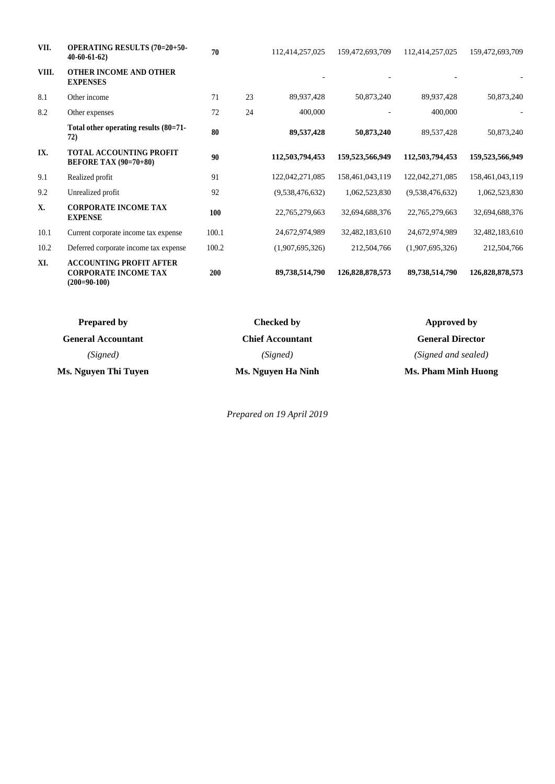| VII.  | <b>OPERATING RESULTS (70=20+50-</b><br>$40-60-61-62$                            | 70    |    | 112,414,257,025 | 159,472,693,709 | 112,414,257,025 | 159,472,693,709 |
|-------|---------------------------------------------------------------------------------|-------|----|-----------------|-----------------|-----------------|-----------------|
| VIII. | <b>OTHER INCOME AND OTHER</b><br><b>EXPENSES</b>                                |       |    |                 |                 |                 |                 |
| 8.1   | Other income                                                                    | 71    | 23 | 89,937,428      | 50,873,240      | 89,937,428      | 50,873,240      |
| 8.2   | Other expenses                                                                  | 72    | 24 | 400,000         |                 | 400,000         |                 |
|       | Total other operating results (80=71-<br>72)                                    | 80    |    | 89,537,428      | 50,873,240      | 89,537,428      | 50,873,240      |
| IX.   | <b>TOTAL ACCOUNTING PROFIT</b><br><b>BEFORE TAX (90=70+80)</b>                  | 90    |    | 112,503,794,453 | 159,523,566,949 | 112,503,794,453 | 159,523,566,949 |
| 9.1   | Realized profit                                                                 | 91    |    | 122,042,271,085 | 158,461,043,119 | 122,042,271,085 | 158,461,043,119 |
| 9.2   | Unrealized profit                                                               | 92    |    | (9,538,476,632) | 1,062,523,830   | (9,538,476,632) | 1,062,523,830   |
| X.    | <b>CORPORATE INCOME TAX</b><br><b>EXPENSE</b>                                   | 100   |    | 22,765,279,663  | 32,694,688,376  | 22,765,279,663  | 32,694,688,376  |
| 10.1  | Current corporate income tax expense                                            | 100.1 |    | 24,672,974,989  | 32,482,183,610  | 24,672,974,989  | 32,482,183,610  |
| 10.2  | Deferred corporate income tax expense                                           | 100.2 |    | (1,907,695,326) | 212,504,766     | (1,907,695,326) | 212,504,766     |
| XI.   | <b>ACCOUNTING PROFIT AFTER</b><br><b>CORPORATE INCOME TAX</b><br>$(200=90-100)$ | 200   |    | 89,738,514,790  | 126,828,878,573 | 89,738,514,790  | 126,828,878,573 |

**Prepared by General Accountant** *(Signed)* **Ms. Nguyen Thi Tuyen**

**Checked by Chief Accountant** *(Signed)* **Ms. Nguyen Ha Ninh**

**Approved by General Director** *(Signed and sealed)* **Ms. Pham Minh Huong**

*Prepared on 19 April 2019*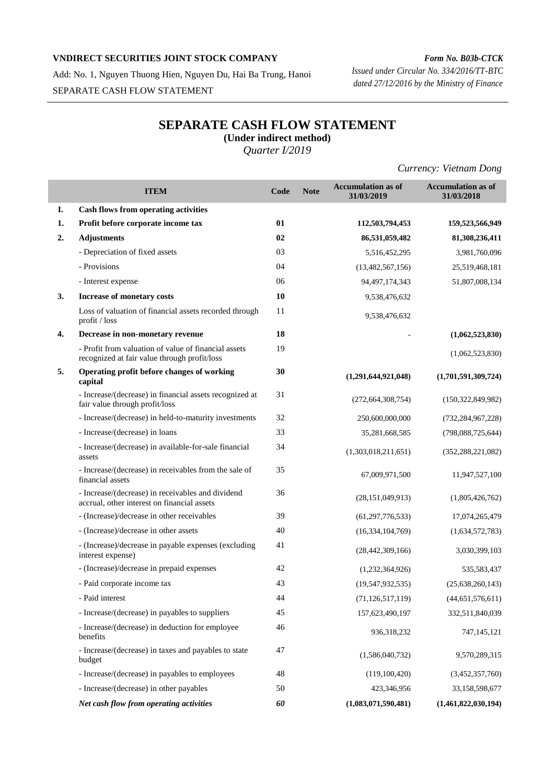Add: No. 1, Nguyen Thuong Hien, Nguyen Du, Hai Ba Trung, Hanoi SEPARATE CASH FLOW STATEMENT

#### *Form No. B03b-CTCK*

*Issued under Circular No. 334/2016/TT-BTC dated 27/12/2016 by the Ministry of Finance*

**SEPARATE CASH FLOW STATEMENT**

**(Under indirect method)**

*Quarter I/2019*

*Currency: Vietnam Dong*

|    | <b>ITEM</b>                                                                                          | Code | <b>Note</b> | <b>Accumulation as of</b><br>31/03/2019 | <b>Accumulation as of</b><br>31/03/2018 |
|----|------------------------------------------------------------------------------------------------------|------|-------------|-----------------------------------------|-----------------------------------------|
| I. | <b>Cash flows from operating activities</b>                                                          |      |             |                                         |                                         |
| 1. | Profit before corporate income tax                                                                   | 01   |             | 112,503,794,453                         | 159,523,566,949                         |
| 2. | <b>Adjustments</b>                                                                                   | 02   |             | 86,531,059,482                          | 81,308,236,411                          |
|    | - Depreciation of fixed assets                                                                       | 03   |             | 5,516,452,295                           | 3,981,760,096                           |
|    | - Provisions                                                                                         | 04   |             | (13,482,567,156)                        | 25,519,468,181                          |
|    | - Interest expense                                                                                   | 06   |             | 94,497,174,343                          | 51,807,008,134                          |
| 3. | <b>Increase of monetary costs</b>                                                                    | 10   |             | 9,538,476,632                           |                                         |
|    | Loss of valuation of financial assets recorded through<br>profit / loss                              | 11   |             | 9,538,476,632                           |                                         |
| 4. | Decrease in non-monetary revenue                                                                     | 18   |             |                                         | (1,062,523,830)                         |
|    | - Profit from valuation of value of financial assets<br>recognized at fair value through profit/loss | 19   |             |                                         | (1,062,523,830)                         |
| 5. | Operating profit before changes of working<br>capital                                                | 30   |             | (1,291,644,921,048)                     | (1,701,591,309,724)                     |
|    | - Increase/(decrease) in financial assets recognized at<br>fair value through profit/loss            | 31   |             | (272, 664, 308, 754)                    | (150, 322, 849, 982)                    |
|    | - Increase/(decrease) in held-to-maturity investments                                                | 32   |             | 250,600,000,000                         | (732, 284, 967, 228)                    |
|    | - Increase/(decrease) in loans                                                                       | 33   |             | 35,281,668,585                          | (798,088,725,644)                       |
|    | - Increase/(decrease) in available-for-sale financial<br>assets                                      | 34   |             | (1,303,018,211,651)                     | (352, 288, 221, 082)                    |
|    | - Increase/(decrease) in receivables from the sale of<br>financial assets                            | 35   |             | 67,009,971,500                          | 11,947,527,100                          |
|    | - Increase/(decrease) in receivables and dividend<br>accrual, other interest on financial assets     | 36   |             | (28, 151, 049, 913)                     | (1,805,426,762)                         |
|    | - (Increase)/decrease in other receivables                                                           | 39   |             | (61, 297, 776, 533)                     | 17,074,265,479                          |
|    | - (Increase)/decrease in other assets                                                                | 40   |             | (16, 334, 104, 769)                     | (1,634,572,783)                         |
|    | - (Increase)/decrease in payable expenses (excluding<br>interest expense)                            | 41   |             | (28, 442, 309, 166)                     | 3,030,399,103                           |
|    | - (Increase)/decrease in prepaid expenses                                                            | 42   |             | (1,232,364,926)                         | 535, 583, 437                           |
|    | - Paid corporate income tax                                                                          | 43   |             | (19, 547, 932, 535)                     | (25,638,260,143)                        |
|    | - Paid interest                                                                                      | 44   |             | (71, 126, 517, 119)                     | (44, 651, 576, 611)                     |
|    | - Increase/(decrease) in payables to suppliers                                                       | 45   |             | 157,623,490,197                         | 332,511,840,039                         |
|    | - Increase/(decrease) in deduction for employee<br>benefits                                          | 46   |             | 936,318,232                             | 747,145,121                             |
|    | - Increase/(decrease) in taxes and payables to state<br>budget                                       | 47   |             | (1,586,040,732)                         | 9,570,289,315                           |
|    | - Increase/(decrease) in payables to employees                                                       | 48   |             | (119,100,420)                           | (3,452,357,760)                         |
|    | - Increase/(decrease) in other payables                                                              | 50   |             | 423,346,956                             | 33,158,598,677                          |
|    | Net cash flow from operating activities                                                              | 60   |             | (1,083,071,590,481)                     | (1,461,822,030,194)                     |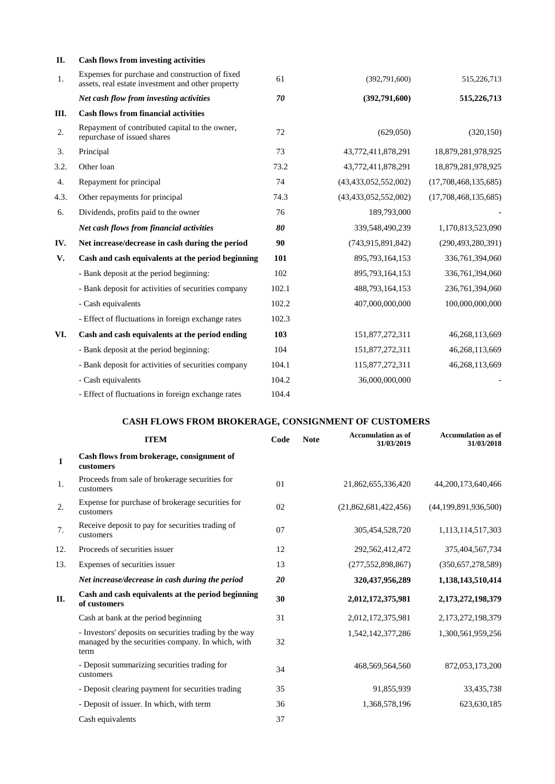| II.  | <b>Cash flows from investing activities</b>                                                          |       |                          |                      |
|------|------------------------------------------------------------------------------------------------------|-------|--------------------------|----------------------|
| 1.   | Expenses for purchase and construction of fixed<br>assets, real estate investment and other property | 61    | (392,791,600)            | 515,226,713          |
|      | Net cash flow from investing activities                                                              | 70    | (392,791,600)            | 515,226,713          |
| III. | <b>Cash flows from financial activities</b>                                                          |       |                          |                      |
| 2.   | Repayment of contributed capital to the owner,<br>repurchase of issued shares                        | 72    | (629,050)                | (320, 150)           |
| 3.   | Principal                                                                                            | 73    | 43,772,411,878,291       | 18,879,281,978,925   |
| 3.2. | Other loan                                                                                           | 73.2  | 43,772,411,878,291       | 18,879,281,978,925   |
| 4.   | Repayment for principal                                                                              | 74    | (43, 433, 052, 552, 002) | (17,708,468,135,685) |
| 4.3. | Other repayments for principal                                                                       | 74.3  | (43, 433, 052, 552, 002) | (17,708,468,135,685) |
| 6.   | Dividends, profits paid to the owner                                                                 | 76    | 189,793,000              |                      |
|      | Net cash flows from financial activities                                                             | 80    | 339,548,490,239          | 1,170,813,523,090    |
| IV.  | Net increase/decrease in cash during the period                                                      | 90    | (743, 915, 891, 842)     | (290, 493, 280, 391) |
| V.   | Cash and cash equivalents at the period beginning                                                    | 101   | 895,793,164,153          | 336,761,394,060      |
|      | - Bank deposit at the period beginning:                                                              | 102   | 895,793,164,153          | 336,761,394,060      |
|      | - Bank deposit for activities of securities company                                                  | 102.1 | 488,793,164,153          | 236,761,394,060      |
|      | - Cash equivalents                                                                                   | 102.2 | 407,000,000,000          | 100,000,000,000      |
|      | - Effect of fluctuations in foreign exchange rates                                                   | 102.3 |                          |                      |
| VI.  | Cash and cash equivalents at the period ending                                                       | 103   | 151,877,272,311          | 46,268,113,669       |
|      | - Bank deposit at the period beginning:                                                              | 104   | 151,877,272,311          | 46,268,113,669       |
|      | - Bank deposit for activities of securities company                                                  | 104.1 | 115,877,272,311          | 46,268,113,669       |
|      | - Cash equivalents                                                                                   | 104.2 | 36,000,000,000           |                      |
|      | - Effect of fluctuations in foreign exchange rates                                                   | 104.4 |                          |                      |

# **CASH FLOWS FROM BROKERAGE, CONSIGNMENT OF CUSTOMERS**

|             | <b>ITEM</b>                                                                                                         | Code | <b>Note</b> | <b>Accumulation as of</b><br>31/03/2019 | <b>Accumulation as of</b><br>31/03/2018 |
|-------------|---------------------------------------------------------------------------------------------------------------------|------|-------------|-----------------------------------------|-----------------------------------------|
| $\mathbf I$ | Cash flows from brokerage, consignment of<br>customers                                                              |      |             |                                         |                                         |
| 1.          | Proceeds from sale of brokerage securities for<br>customers                                                         | 01   |             | 21,862,655,336,420                      | 44,200,173,640,466                      |
| 2.          | Expense for purchase of brokerage securities for<br>customers                                                       | 02   |             | (21,862,681,422,456)                    | (44,199,891,936,500)                    |
| 7.          | Receive deposit to pay for securities trading of<br>customers                                                       | 07   |             | 305,454,528,720                         | 1,113,114,517,303                       |
| 12.         | Proceeds of securities issuer                                                                                       | 12   |             | 292,562,412,472                         | 375,404,567,734                         |
| 13.         | Expenses of securities issuer                                                                                       | 13   |             | (277, 552, 898, 867)                    | (350,657,278,589)                       |
|             | Net increase/decrease in cash during the period                                                                     | 20   |             | 320,437,956,289                         | 1,138,143,510,414                       |
| II.         | Cash and cash equivalents at the period beginning<br>of customers                                                   | 30   |             | 2,012,172,375,981                       | 2,173,272,198,379                       |
|             | Cash at bank at the period beginning                                                                                | 31   |             | 2,012,172,375,981                       | 2,173,272,198,379                       |
|             | - Investors' deposits on securities trading by the way<br>managed by the securities company. In which, with<br>term | 32   |             | 1,542,142,377,286                       | 1,300,561,959,256                       |
|             | - Deposit summarizing securities trading for<br>customers                                                           | 34   |             | 468,569,564,560                         | 872,053,173,200                         |
|             | - Deposit clearing payment for securities trading                                                                   | 35   |             | 91,855,939                              | 33,435,738                              |
|             | - Deposit of issuer. In which, with term                                                                            | 36   |             | 1,368,578,196                           | 623,630,185                             |
|             | Cash equivalents                                                                                                    | 37   |             |                                         |                                         |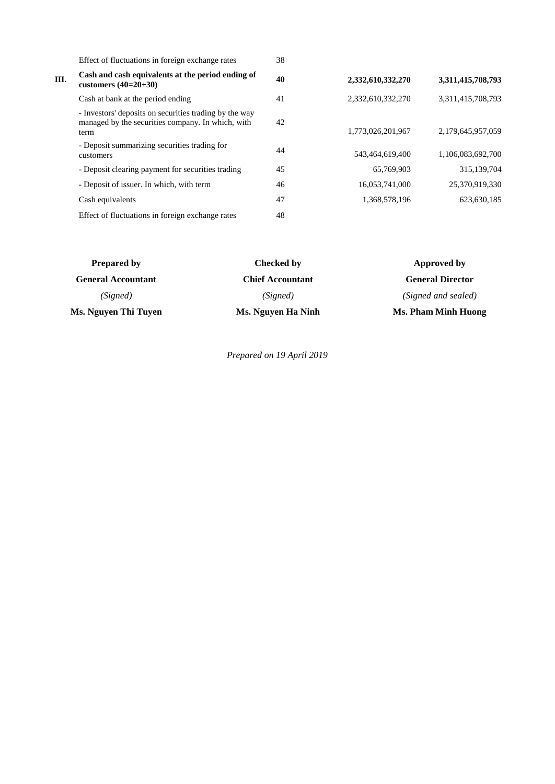|      | Effect of fluctuations in foreign exchange rates                                                                    | 38 |                   |                   |
|------|---------------------------------------------------------------------------------------------------------------------|----|-------------------|-------------------|
| III. | Cash and cash equivalents at the period ending of<br>customers $(40=20+30)$                                         | 40 | 2,332,610,332,270 | 3,311,415,708,793 |
|      | Cash at bank at the period ending                                                                                   | 41 | 2,332,610,332,270 | 3,311,415,708,793 |
|      | - Investors' deposits on securities trading by the way<br>managed by the securities company. In which, with<br>term | 42 | 1,773,026,201,967 | 2,179,645,957,059 |
|      | - Deposit summarizing securities trading for<br>customers                                                           | 44 | 543.464.619.400   | 1,106,083,692,700 |
|      | - Deposit clearing payment for securities trading                                                                   | 45 | 65,769,903        | 315,139,704       |
|      | - Deposit of issuer. In which, with term                                                                            | 46 | 16,053,741,000    | 25.370.919.330    |
|      | Cash equivalents                                                                                                    | 47 | 1,368,578,196     | 623,630,185       |
|      | Effect of fluctuations in foreign exchange rates                                                                    | 48 |                   |                   |
|      |                                                                                                                     |    |                   |                   |

| <b>Prepared by</b>        | <b>Checked by</b>       | Approved by                |  |
|---------------------------|-------------------------|----------------------------|--|
| <b>General Accountant</b> | <b>Chief Accountant</b> | <b>General Director</b>    |  |
| (Signed)                  | (Signed)                | (Signed and sealed)        |  |
| Ms. Nguyen Thi Tuyen      | Ms. Nguyen Ha Ninh      | <b>Ms. Pham Minh Huong</b> |  |

*Prepared on 19 April 2019*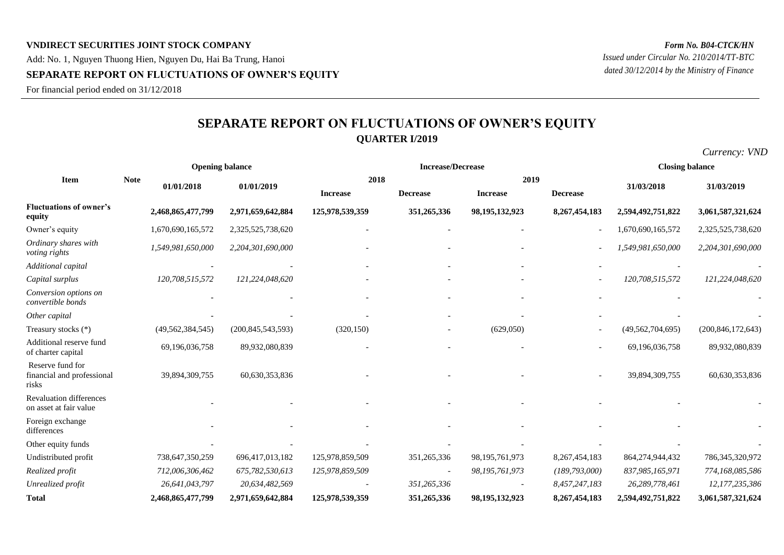# **VNDIRECT SECURITIES JOINT STOCK COMPANY** Add: No. 1, Nguyen Thuong Hien, Nguyen Du, Hai Ba Trung, Hanoi **SEPARATE REPORT ON FLUCTUATIONS OF OWNER'S EQUITY**

For financial period ended on 31/12/2018

*Currency: VND*

# **SEPARATE REPORT ON FLUCTUATIONS OF OWNER'S EQUITY QUARTER I/2019**

|                                                          | <b>Opening balance</b> |                     |                      |                 | <b>Increase/Decrease</b> |                   |                  |                     | <b>Closing balance</b> |  |
|----------------------------------------------------------|------------------------|---------------------|----------------------|-----------------|--------------------------|-------------------|------------------|---------------------|------------------------|--|
| <b>Item</b>                                              | <b>Note</b>            | 01/01/2018          | 01/01/2019           | 2018            |                          | 2019              |                  | 31/03/2018          | 31/03/2019             |  |
|                                                          |                        |                     |                      | <b>Increase</b> | <b>Decrease</b>          | <b>Increase</b>   | <b>Decrease</b>  |                     |                        |  |
| <b>Fluctuations of owner's</b><br>equity                 |                        | 2,468,865,477,799   | 2,971,659,642,884    | 125,978,539,359 | 351,265,336              | 98, 195, 132, 923 | 8, 267, 454, 183 | 2,594,492,751,822   | 3,061,587,321,624      |  |
| Owner's equity                                           |                        | 1,670,690,165,572   | 2,325,525,738,620    |                 |                          |                   |                  | 1,670,690,165,572   | 2,325,525,738,620      |  |
| Ordinary shares with<br>voting rights                    |                        | 1,549,981,650,000   | 2,204,301,690,000    |                 |                          |                   |                  | 1,549,981,650,000   | 2,204,301,690,000      |  |
| Additional capital                                       |                        |                     |                      |                 |                          |                   |                  |                     |                        |  |
| Capital surplus                                          |                        | 120,708,515,572     | 121,224,048,620      |                 |                          |                   |                  | 120,708,515,572     | 121,224,048,620        |  |
| Conversion options on<br>convertible bonds               |                        |                     |                      |                 |                          |                   |                  |                     |                        |  |
| Other capital                                            |                        |                     |                      |                 |                          |                   |                  |                     |                        |  |
| Treasury stocks (*)                                      |                        | (49, 562, 384, 545) | (200, 845, 543, 593) | (320, 150)      |                          | (629,050)         |                  | (49, 562, 704, 695) | (200, 846, 172, 643)   |  |
| Additional reserve fund<br>of charter capital            |                        | 69,196,036,758      | 89,932,080,839       |                 |                          |                   |                  | 69,196,036,758      | 89,932,080,839         |  |
| Reserve fund for<br>financial and professional<br>risks  |                        | 39,894,309,755      | 60,630,353,836       |                 |                          |                   |                  | 39,894,309,755      | 60,630,353,836         |  |
| <b>Revaluation differences</b><br>on asset at fair value |                        |                     |                      |                 |                          |                   |                  |                     |                        |  |
| Foreign exchange<br>differences                          |                        |                     |                      |                 |                          |                   |                  |                     |                        |  |
| Other equity funds                                       |                        |                     |                      |                 |                          |                   |                  |                     |                        |  |
| Undistributed profit                                     |                        | 738,647,350,259     | 696,417,013,182      | 125,978,859,509 | 351,265,336              | 98, 195, 761, 973 | 8, 267, 454, 183 | 864, 274, 944, 432  | 786, 345, 320, 972     |  |
| Realized profit                                          |                        | 712,006,306,462     | 675,782,530,613      | 125,978,859,509 |                          | 98,195,761,973    | (189, 793, 000)  | 837,985,165,971     | 774,168,085,586        |  |
| Unrealized profit                                        |                        | 26,641,043,797      | 20,634,482,569       |                 | 351,265,336              |                   | 8,457,247,183    | 26,289,778,461      | 12,177,235,386         |  |
| Total                                                    |                        | 2.468.865.477.799   | 2.971.659.642.884    | 125,978,539,359 | 351,265,336              | 98.195.132.923    | 8.267,454,183    | 2.594.492.751.822   | 3,061,587,321,624      |  |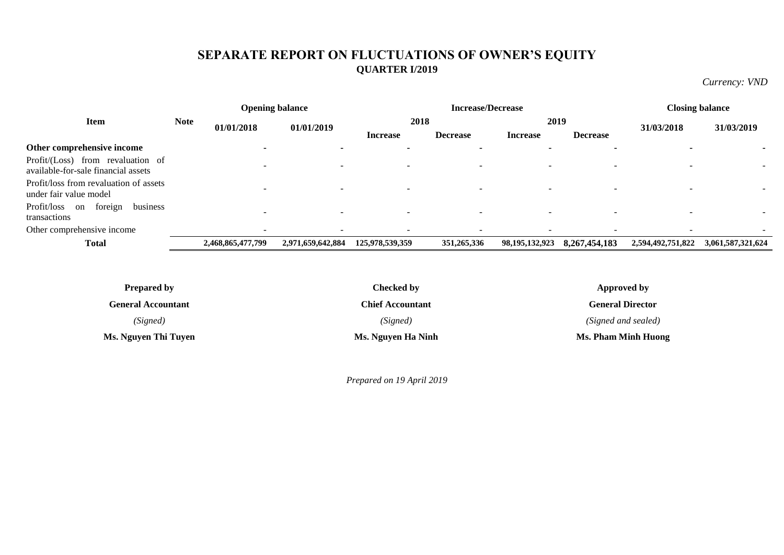# **SEPARATE REPORT ON FLUCTUATIONS OF OWNER'S EQUITY QUARTER I/2019**

*Currency: VND*

|                                                                          | <b>Opening balance</b> |                          |                   |                 | <b>Increase/Decrease</b> |                 |                          |                   | <b>Closing balance</b> |  |
|--------------------------------------------------------------------------|------------------------|--------------------------|-------------------|-----------------|--------------------------|-----------------|--------------------------|-------------------|------------------------|--|
| <b>Item</b>                                                              | <b>Note</b>            | 01/01/2018               | 01/01/2019        |                 | 2018                     | 2019            |                          | 31/03/2018        | 31/03/2019             |  |
|                                                                          |                        |                          |                   | <b>Increase</b> | <b>Decrease</b>          | <b>Increase</b> | <b>Decrease</b>          |                   |                        |  |
| Other comprehensive income                                               |                        |                          |                   |                 |                          |                 |                          |                   |                        |  |
| Profit/(Loss) from revaluation of<br>available-for-sale financial assets |                        |                          |                   |                 |                          |                 |                          |                   |                        |  |
| Profit/loss from revaluation of assets<br>under fair value model         |                        | -                        |                   | $\sim$          |                          |                 | -                        |                   |                        |  |
| Profit/loss<br>business<br>foreign<br>on<br>transactions                 |                        |                          |                   |                 |                          |                 |                          |                   |                        |  |
| Other comprehensive income                                               |                        | $\overline{\phantom{0}}$ |                   |                 |                          |                 | $\overline{\phantom{a}}$ |                   |                        |  |
| <b>Total</b>                                                             |                        | 2,468,865,477,799        | 2,971,659,642,884 | 125,978,539,359 | 351,265,336              | 98,195,132,923  | 8,267,454,183            | 2,594,492,751,822 | 3,061,587,321,624      |  |
|                                                                          |                        |                          |                   |                 |                          |                 |                          |                   |                        |  |

| <b>Prepared by</b><br><b>General Accountant</b> | <b>Checked by</b><br><b>Chief Accountant</b> | Approved by<br><b>General Director</b> |
|-------------------------------------------------|----------------------------------------------|----------------------------------------|
| (Signed)                                        | (Signed)                                     | (Signed and sealed)                    |
| Ms. Nguyen Thi Tuyen                            | Ms. Nguyen Ha Ninh                           | <b>Ms. Pham Minh Huong</b>             |

*Prepared on 19 April 2019*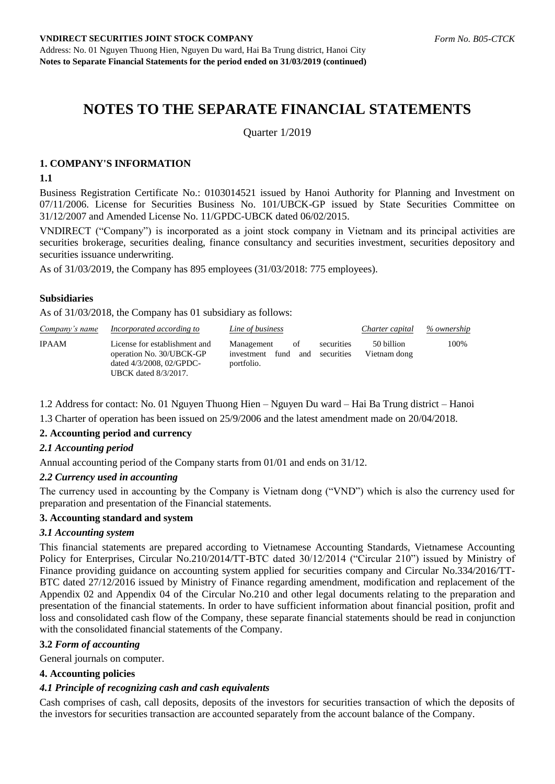# **NOTES TO THE SEPARATE FINANCIAL STATEMENTS**

Quarter 1/2019

# **1. COMPANY'S INFORMATION**

# **1.1**

Business Registration Certificate No.: 0103014521 issued by Hanoi Authority for Planning and Investment on 07/11/2006. License for Securities Business No. 101/UBCK-GP issued by State Securities Committee on 31/12/2007 and Amended License No. 11/GPDC-UBCK dated 06/02/2015.

VNDIRECT ("Company") is incorporated as a joint stock company in Vietnam and its principal activities are securities brokerage, securities dealing, finance consultancy and securities investment, securities depository and securities issuance underwriting.

As of 31/03/2019, the Company has 895 employees (31/03/2018: 775 employees).

# **Subsidiaries**

As of 31/03/2018, the Company has 01 subsidiary as follows:

| Company's name | Incorporated according to                                                                                            | Line of business                                                                        | Charter capital            | % ownership |
|----------------|----------------------------------------------------------------------------------------------------------------------|-----------------------------------------------------------------------------------------|----------------------------|-------------|
| <b>IPAAM</b>   | License for establishment and<br>operation No. 30/UBCK-GP<br>dated 4/3/2008, 02/GPDC-<br><b>UBCK</b> dated 8/3/2017. | securities<br>Management<br>ΟĪ<br>fund<br>securities<br>and<br>investment<br>portfolio. | 50 billion<br>Vietnam dong | 100%        |

1.2 Address for contact: No. 01 Nguyen Thuong Hien – Nguyen Du ward – Hai Ba Trung district – Hanoi 1.3 Charter of operation has been issued on 25/9/2006 and the latest amendment made on 20/04/2018.

# **2. Accounting period and currency**

#### *2.1 Accounting period*

Annual accounting period of the Company starts from 01/01 and ends on 31/12.

#### *2.2 Currency used in accounting*

The currency used in accounting by the Company is Vietnam dong ("VND") which is also the currency used for preparation and presentation of the Financial statements.

# **3. Accounting standard and system**

#### *3.1 Accounting system*

This financial statements are prepared according to Vietnamese Accounting Standards, Vietnamese Accounting Policy for Enterprises, Circular No.210/2014/TT-BTC dated 30/12/2014 ("Circular 210") issued by Ministry of Finance providing guidance on accounting system applied for securities company and Circular No.334/2016/TT-BTC dated 27/12/2016 issued by Ministry of Finance regarding amendment, modification and replacement of the Appendix 02 and Appendix 04 of the Circular No.210 and other legal documents relating to the preparation and presentation of the financial statements. In order to have sufficient information about financial position, profit and loss and consolidated cash flow of the Company, these separate financial statements should be read in conjunction with the consolidated financial statements of the Company.

# **3.2** *Form of accounting*

General journals on computer.

#### **4. Accounting policies**

# *4.1 Principle of recognizing cash and cash equivalents*

Cash comprises of cash, call deposits, deposits of the investors for securities transaction of which the deposits of the investors for securities transaction are accounted separately from the account balance of the Company.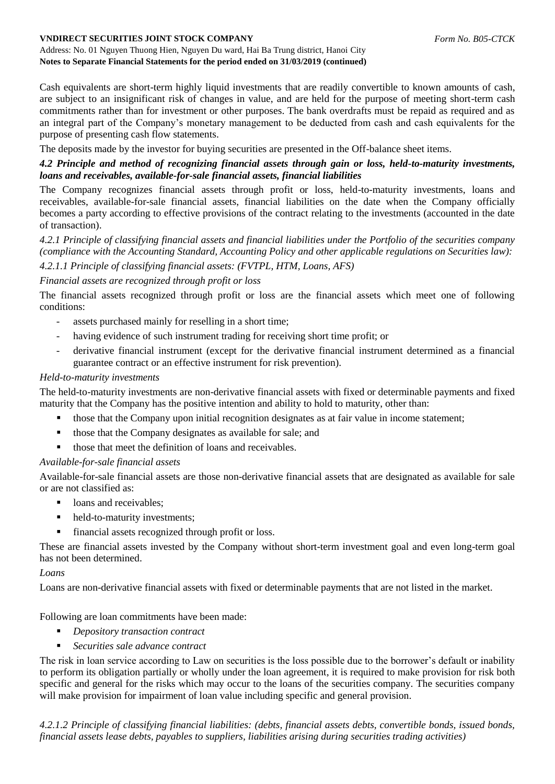#### Address: No. 01 Nguyen Thuong Hien, Nguyen Du ward, Hai Ba Trung district, Hanoi City **Notes to Separate Financial Statements for the period ended on 31/03/2019 (continued)**

Cash equivalents are short-term highly liquid investments that are readily convertible to known amounts of cash, are subject to an insignificant risk of changes in value, and are held for the purpose of meeting short-term cash commitments rather than for investment or other purposes. The bank overdrafts must be repaid as required and as an integral part of the Company's monetary management to be deducted from cash and cash equivalents for the purpose of presenting cash flow statements.

The deposits made by the investor for buying securities are presented in the Off-balance sheet items.

# *4.2 Principle and method of recognizing financial assets through gain or loss, held-to-maturity investments, loans and receivables, available-for-sale financial assets, financial liabilities*

The Company recognizes financial assets through profit or loss, held-to-maturity investments, loans and receivables, available-for-sale financial assets, financial liabilities on the date when the Company officially becomes a party according to effective provisions of the contract relating to the investments (accounted in the date of transaction).

# *4.2.1 Principle of classifying financial assets and financial liabilities under the Portfolio of the securities company (compliance with the Accounting Standard, Accounting Policy and other applicable regulations on Securities law):*

# *4.2.1.1 Principle of classifying financial assets: (FVTPL, HTM, Loans, AFS)*

# *Financial assets are recognized through profit or loss*

The financial assets recognized through profit or loss are the financial assets which meet one of following conditions:

- assets purchased mainly for reselling in a short time;
- having evidence of such instrument trading for receiving short time profit; or
- derivative financial instrument (except for the derivative financial instrument determined as a financial guarantee contract or an effective instrument for risk prevention).

# *Held-to-maturity investments*

The held-to-maturity investments are non-derivative financial assets with fixed or determinable payments and fixed maturity that the Company has the positive intention and ability to hold to maturity, other than:

- those that the Company upon initial recognition designates as at fair value in income statement;
- those that the Company designates as available for sale; and
- **those that meet the definition of loans and receivables.**

# *Available-for-sale financial assets*

Available-for-sale financial assets are those non-derivative financial assets that are designated as available for sale or are not classified as:

- loans and receivables;
- held-to-maturity investments;
- financial assets recognized through profit or loss.

These are financial assets invested by the Company without short-term investment goal and even long-term goal has not been determined.

#### *Loans*

Loans are non-derivative financial assets with fixed or determinable payments that are not listed in the market.

Following are loan commitments have been made:

- *Depository transaction contract*
- *Securities sale advance contract*

The risk in loan service according to Law on securities is the loss possible due to the borrower's default or inability to perform its obligation partially or wholly under the loan agreement, it is required to make provision for risk both specific and general for the risks which may occur to the loans of the securities company. The securities company will make provision for impairment of loan value including specific and general provision.

*4.2.1.2 Principle of classifying financial liabilities: (debts, financial assets debts, convertible bonds, issued bonds, financial assets lease debts, payables to suppliers, liabilities arising during securities trading activities)*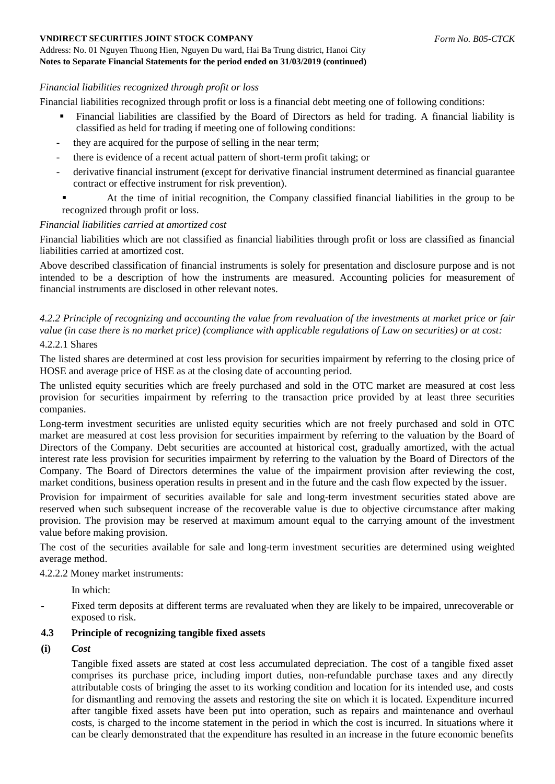#### Address: No. 01 Nguyen Thuong Hien, Nguyen Du ward, Hai Ba Trung district, Hanoi City **Notes to Separate Financial Statements for the period ended on 31/03/2019 (continued)**

# *Financial liabilities recognized through profit or loss*

Financial liabilities recognized through profit or loss is a financial debt meeting one of following conditions:

- Financial liabilities are classified by the Board of Directors as held for trading. A financial liability is classified as held for trading if meeting one of following conditions:
- they are acquired for the purpose of selling in the near term;
- there is evidence of a recent actual pattern of short-term profit taking; or
- derivative financial instrument (except for derivative financial instrument determined as financial guarantee contract or effective instrument for risk prevention).
- At the time of initial recognition, the Company classified financial liabilities in the group to be recognized through profit or loss.

# *Financial liabilities carried at amortized cost*

Financial liabilities which are not classified as financial liabilities through profit or loss are classified as financial liabilities carried at amortized cost.

Above described classification of financial instruments is solely for presentation and disclosure purpose and is not intended to be a description of how the instruments are measured. Accounting policies for measurement of financial instruments are disclosed in other relevant notes.

*4.2.2 Principle of recognizing and accounting the value from revaluation of the investments at market price or fair value (in case there is no market price) (compliance with applicable regulations of Law on securities) or at cost:* 4.2.2.1 Shares

The listed shares are determined at cost less provision for securities impairment by referring to the closing price of HOSE and average price of HSE as at the closing date of accounting period.

The unlisted equity securities which are freely purchased and sold in the OTC market are measured at cost less provision for securities impairment by referring to the transaction price provided by at least three securities companies.

Long-term investment securities are unlisted equity securities which are not freely purchased and sold in OTC market are measured at cost less provision for securities impairment by referring to the valuation by the Board of Directors of the Company. Debt securities are accounted at historical cost, gradually amortized, with the actual interest rate less provision for securities impairment by referring to the valuation by the Board of Directors of the Company. The Board of Directors determines the value of the impairment provision after reviewing the cost, market conditions, business operation results in present and in the future and the cash flow expected by the issuer.

Provision for impairment of securities available for sale and long-term investment securities stated above are reserved when such subsequent increase of the recoverable value is due to objective circumstance after making provision. The provision may be reserved at maximum amount equal to the carrying amount of the investment value before making provision.

The cost of the securities available for sale and long-term investment securities are determined using weighted average method.

#### 4.2.2.2 Money market instruments:

In which:

**-** Fixed term deposits at different terms are revaluated when they are likely to be impaired, unrecoverable or exposed to risk.

# **4.3 Principle of recognizing tangible fixed assets**

**(i)** *Cost* 

Tangible fixed assets are stated at cost less accumulated depreciation. The cost of a tangible fixed asset comprises its purchase price, including import duties, non-refundable purchase taxes and any directly attributable costs of bringing the asset to its working condition and location for its intended use, and costs for dismantling and removing the assets and restoring the site on which it is located. Expenditure incurred after tangible fixed assets have been put into operation, such as repairs and maintenance and overhaul costs, is charged to the income statement in the period in which the cost is incurred. In situations where it can be clearly demonstrated that the expenditure has resulted in an increase in the future economic benefits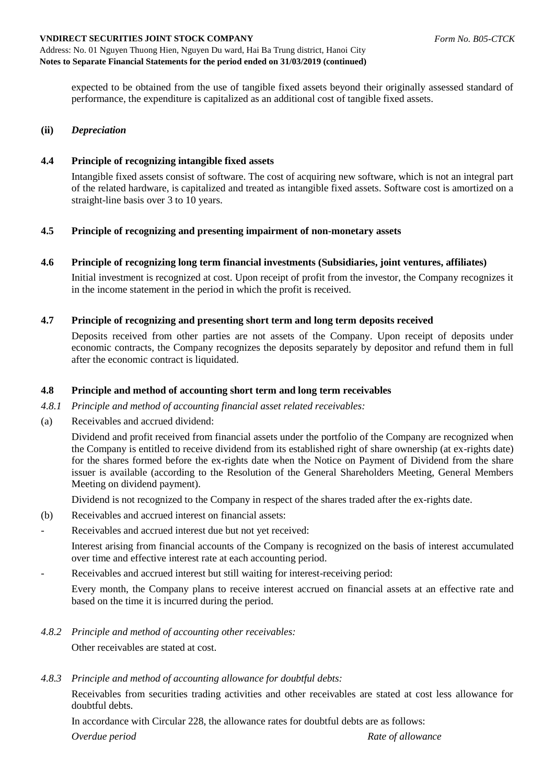#### Address: No. 01 Nguyen Thuong Hien, Nguyen Du ward, Hai Ba Trung district, Hanoi City **Notes to Separate Financial Statements for the period ended on 31/03/2019 (continued)**

expected to be obtained from the use of tangible fixed assets beyond their originally assessed standard of performance, the expenditure is capitalized as an additional cost of tangible fixed assets.

#### **(ii)** *Depreciation*

#### **4.4 Principle of recognizing intangible fixed assets**

Intangible fixed assets consist of software. The cost of acquiring new software, which is not an integral part of the related hardware, is capitalized and treated as intangible fixed assets. Software cost is amortized on a straight-line basis over 3 to 10 years.

#### **4.5 Principle of recognizing and presenting impairment of non-monetary assets**

**4.6 Principle of recognizing long term financial investments (Subsidiaries, joint ventures, affiliates)**

Initial investment is recognized at cost. Upon receipt of profit from the investor, the Company recognizes it in the income statement in the period in which the profit is received.

# **4.7 Principle of recognizing and presenting short term and long term deposits received**

Deposits received from other parties are not assets of the Company. Upon receipt of deposits under economic contracts, the Company recognizes the deposits separately by depositor and refund them in full after the economic contract is liquidated.

#### **4.8 Principle and method of accounting short term and long term receivables**

- *4.8.1 Principle and method of accounting financial asset related receivables:*
- (a) Receivables and accrued dividend:

Dividend and profit received from financial assets under the portfolio of the Company are recognized when the Company is entitled to receive dividend from its established right of share ownership (at ex-rights date) for the shares formed before the ex-rights date when the Notice on Payment of Dividend from the share issuer is available (according to the Resolution of the General Shareholders Meeting, General Members Meeting on dividend payment).

Dividend is not recognized to the Company in respect of the shares traded after the ex-rights date.

- (b) Receivables and accrued interest on financial assets:
- Receivables and accrued interest due but not yet received:

Interest arising from financial accounts of the Company is recognized on the basis of interest accumulated over time and effective interest rate at each accounting period.

Receivables and accrued interest but still waiting for interest-receiving period:

Every month, the Company plans to receive interest accrued on financial assets at an effective rate and based on the time it is incurred during the period.

- *4.8.2 Principle and method of accounting other receivables:* Other receivables are stated at cost.
- *4.8.3 Principle and method of accounting allowance for doubtful debts:*

Receivables from securities trading activities and other receivables are stated at cost less allowance for doubtful debts.

In accordance with Circular 228, the allowance rates for doubtful debts are as follows: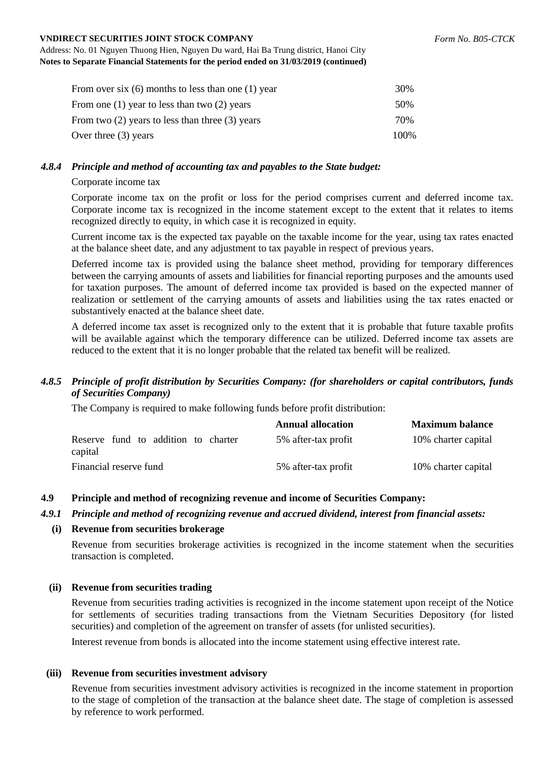#### Address: No. 01 Nguyen Thuong Hien, Nguyen Du ward, Hai Ba Trung district, Hanoi City **Notes to Separate Financial Statements for the period ended on 31/03/2019 (continued)**

| From over six $(6)$ months to less than one $(1)$ year | 30%   |
|--------------------------------------------------------|-------|
| From one $(1)$ year to less than two $(2)$ years       | 50%   |
| From two $(2)$ years to less than three $(3)$ years    | 70%   |
| Over three $(3)$ years                                 | 100\% |

# *4.8.4 Principle and method of accounting tax and payables to the State budget:*

#### Corporate income tax

Corporate income tax on the profit or loss for the period comprises current and deferred income tax. Corporate income tax is recognized in the income statement except to the extent that it relates to items recognized directly to equity, in which case it is recognized in equity.

Current income tax is the expected tax payable on the taxable income for the year, using tax rates enacted at the balance sheet date, and any adjustment to tax payable in respect of previous years.

Deferred income tax is provided using the balance sheet method, providing for temporary differences between the carrying amounts of assets and liabilities for financial reporting purposes and the amounts used for taxation purposes. The amount of deferred income tax provided is based on the expected manner of realization or settlement of the carrying amounts of assets and liabilities using the tax rates enacted or substantively enacted at the balance sheet date.

A deferred income tax asset is recognized only to the extent that it is probable that future taxable profits will be available against which the temporary difference can be utilized. Deferred income tax assets are reduced to the extent that it is no longer probable that the related tax benefit will be realized.

### *4.8.5 Principle of profit distribution by Securities Company: (for shareholders or capital contributors, funds of Securities Company)*

The Company is required to make following funds before profit distribution:

|                                                | <b>Annual allocation</b> | <b>Maximum balance</b> |
|------------------------------------------------|--------------------------|------------------------|
| Reserve fund to addition to charter<br>capital | 5% after-tax profit      | 10% charter capital    |
| Financial reserve fund                         | 5% after-tax profit      | 10% charter capital    |

#### **4.9 Principle and method of recognizing revenue and income of Securities Company:**

#### *4.9.1 Principle and method of recognizing revenue and accrued dividend, interest from financial assets:*

#### **(i) Revenue from securities brokerage**

Revenue from securities brokerage activities is recognized in the income statement when the securities transaction is completed.

#### **(ii) Revenue from securities trading**

Revenue from securities trading activities is recognized in the income statement upon receipt of the Notice for settlements of securities trading transactions from the Vietnam Securities Depository (for listed securities) and completion of the agreement on transfer of assets (for unlisted securities).

Interest revenue from bonds is allocated into the income statement using effective interest rate.

#### **(iii) Revenue from securities investment advisory**

Revenue from securities investment advisory activities is recognized in the income statement in proportion to the stage of completion of the transaction at the balance sheet date. The stage of completion is assessed by reference to work performed.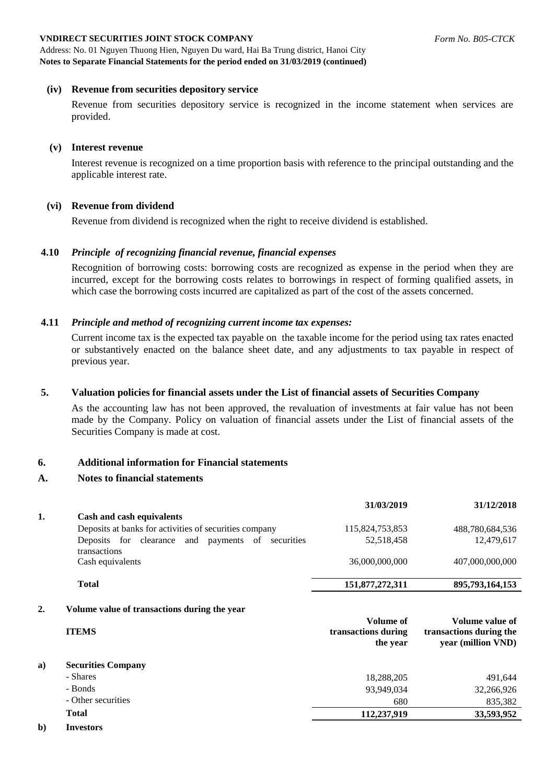#### Address: No. 01 Nguyen Thuong Hien, Nguyen Du ward, Hai Ba Trung district, Hanoi City **Notes to Separate Financial Statements for the period ended on 31/03/2019 (continued)**

#### **(iv) Revenue from securities depository service**

Revenue from securities depository service is recognized in the income statement when services are provided.

#### **(v) Interest revenue**

Interest revenue is recognized on a time proportion basis with reference to the principal outstanding and the applicable interest rate.

# **(vi) Revenue from dividend**

Revenue from dividend is recognized when the right to receive dividend is established.

# **4.10** *Principle of recognizing financial revenue, financial expenses*

Recognition of borrowing costs: borrowing costs are recognized as expense in the period when they are incurred, except for the borrowing costs relates to borrowings in respect of forming qualified assets, in which case the borrowing costs incurred are capitalized as part of the cost of the assets concerned.

# **4.11** *Principle and method of recognizing current income tax expenses:*

Current income tax is the expected tax payable on the taxable income for the period using tax rates enacted or substantively enacted on the balance sheet date, and any adjustments to tax payable in respect of previous year.

#### **5. Valuation policies for financial assets under the List of financial assets of Securities Company**

As the accounting law has not been approved, the revaluation of investments at fair value has not been made by the Company. Policy on valuation of financial assets under the List of financial assets of the Securities Company is made at cost.

#### **6. Additional information for Financial statements**

# **A. Notes to financial statements**

|    |                                                                            | 31/03/2019                       | 31/12/2018              |
|----|----------------------------------------------------------------------------|----------------------------------|-------------------------|
| 1. | Cash and cash equivalents                                                  |                                  |                         |
|    | Deposits at banks for activities of securities company                     | 115,824,753,853                  | 488,780,684,536         |
|    | Deposits for clearance<br>and<br>payments of<br>securities<br>transactions | 52,518,458                       | 12,479,617              |
|    | Cash equivalents                                                           | 36,000,000,000                   | 407,000,000,000         |
|    | <b>Total</b>                                                               | 151,877,272,311                  | 895,793,164,153         |
| 2. | Volume value of transactions during the year                               |                                  |                         |
|    |                                                                            | Volume of                        | Volume value of         |
|    | <b>ITEMS</b>                                                               | transactions during<br>Alexandre | transactions during the |

|              |                           | the year    | year (million VND) |
|--------------|---------------------------|-------------|--------------------|
| a)           | <b>Securities Company</b> |             |                    |
|              | - Shares                  | 18,288,205  | 491,644            |
|              | - Bonds                   | 93,949,034  | 32,266,926         |
|              | - Other securities        | 680         | 835,382            |
|              | <b>Total</b>              | 112,237,919 | 33,593,952         |
| $\mathbf{b}$ | Investors                 |             |                    |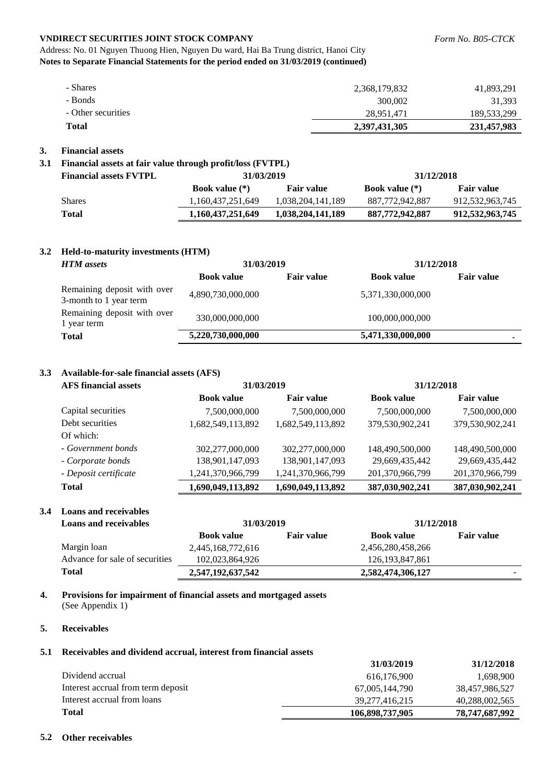Address: No. 01 Nguyen Thuong Hien, Nguyen Du ward, Hai Ba Trung district, Hanoi City **Notes to Separate Financial Statements for the period ended on 31/03/2019 (continued)**

| 2,397,431,305 | 231,457,983 |
|---------------|-------------|
| 28,951,471    | 189,533,299 |
| 300,002       | 31,393      |
| 2,368,179,832 | 41,893,291  |
|               |             |

#### **3. Financial assets**

### **3.1 Financial assets at fair value through profit/loss (FVTPL)**

| <b>Financial assets FVTPL</b> | 31/03/2019            |                   | 31/12/2018            |                   |  |
|-------------------------------|-----------------------|-------------------|-----------------------|-------------------|--|
|                               | <b>Book value</b> (*) | <b>Fair value</b> | <b>Book value</b> (*) | <b>Fair value</b> |  |
| <b>Shares</b>                 | 1,160,437,251,649     | 1,038,204,141,189 | 887,772,942,887       | 912,532,963,745   |  |
| <b>Total</b>                  | 1,160,437,251,649     | 1,038,204,141,189 | 887,772,942,887       | 912,532,963,745   |  |

# **3.2 Held-to-maturity investments (HTM)**

| <b>HTM</b> assets                                     | 31/03/2019        |                   | 31/12/2018        |                   |
|-------------------------------------------------------|-------------------|-------------------|-------------------|-------------------|
|                                                       | <b>Book value</b> | <b>Fair value</b> | <b>Book value</b> | <b>Fair value</b> |
| Remaining deposit with over<br>3-month to 1 year term | 4,890,730,000,000 |                   | 5,371,330,000,000 |                   |
| Remaining deposit with over<br>1 year term            | 330,000,000,000   |                   | 100,000,000,000   |                   |
| <b>Total</b>                                          | 5,220,730,000,000 |                   | 5,471,330,000,000 | ۰                 |

#### **3.3 Available-for-sale financial assets (AFS)**

| <b>AFS</b> financial assets | 31/03/2019        |                   | 31/12/2018        |                   |
|-----------------------------|-------------------|-------------------|-------------------|-------------------|
|                             | <b>Book value</b> | <b>Fair value</b> | <b>Book value</b> | <b>Fair value</b> |
| Capital securities          | 7,500,000,000     | 7,500,000,000     | 7,500,000,000     | 7,500,000,000     |
| Debt securities             | 1,682,549,113,892 | 1,682,549,113,892 | 379,530,902,241   | 379,530,902,241   |
| Of which:                   |                   |                   |                   |                   |
| - Government bonds          | 302,277,000,000   | 302,277,000,000   | 148,490,500,000   | 148,490,500,000   |
| - Corporate bonds           | 138,901,147,093   | 138,901,147,093   | 29,669,435,442    | 29,669,435,442    |
| - Deposit certificate       | 1,241,370,966,799 | 1,241,370,966,799 | 201,370,966,799   | 201,370,966,799   |
| <b>Total</b>                | 1,690,049,113,892 | 1,690,049,113,892 | 387,030,902,241   | 387,030,902,241   |

# **3.4 Loans and receivables**

| <b>Loans and receivables</b>   | 31/03/2019        |                   | 31/12/2018         |                   |
|--------------------------------|-------------------|-------------------|--------------------|-------------------|
|                                | <b>Book value</b> | <b>Fair value</b> | <b>Book value</b>  | <b>Fair value</b> |
| Margin loan                    | 2,445,168,772,616 |                   | 2,456,280,458,266  |                   |
| Advance for sale of securities | 102,023,864,926   |                   | 126, 193, 847, 861 |                   |
| <b>Total</b>                   | 2,547,192,637,542 |                   | 2,582,474,306,127  |                   |

#### **4. Provisions for impairment of financial assets and mortgaged assets**  (See Appendix 1)

#### **5. Receivables**

# **5.1 Receivables and dividend accrual, interest from financial assets**

|                                    | 31/03/2019      | 31/12/2018     |
|------------------------------------|-----------------|----------------|
| Dividend accrual                   | 616.176.900     | 1.698.900      |
| Interest accrual from term deposit | 67,005,144,790  | 38,457,986,527 |
| Interest accrual from loans        | 39.277.416.215  | 40.288.002.565 |
| Total                              | 106,898,737,905 | 78,747,687,992 |

#### **5.2 Other receivables**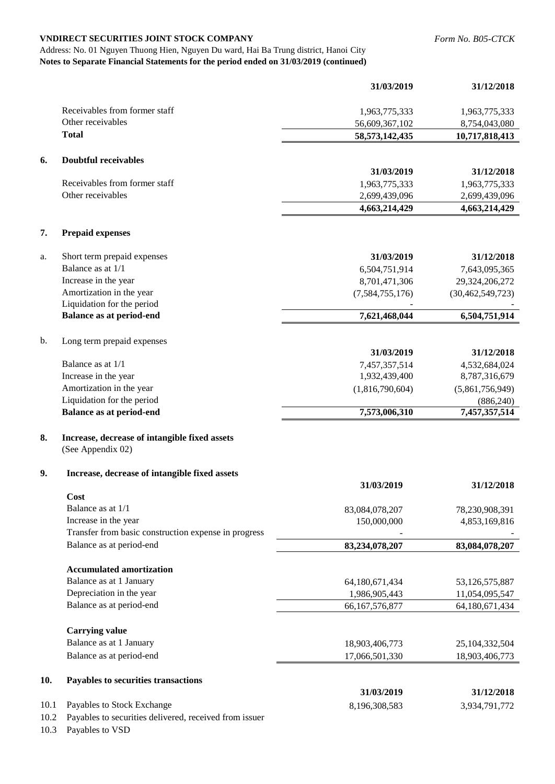# Address: No. 01 Nguyen Thuong Hien, Nguyen Du ward, Hai Ba Trung district, Hanoi City **Notes to Separate Financial Statements for the period ended on 31/03/2019 (continued)**

|      |                                                                    | 31/03/2019        | 31/12/2018          |
|------|--------------------------------------------------------------------|-------------------|---------------------|
|      | Receivables from former staff                                      | 1,963,775,333     | 1,963,775,333       |
|      | Other receivables                                                  | 56,609,367,102    | 8,754,043,080       |
|      | <b>Total</b>                                                       | 58, 573, 142, 435 | 10,717,818,413      |
| 6.   | <b>Doubtful receivables</b>                                        |                   |                     |
|      |                                                                    | 31/03/2019        | 31/12/2018          |
|      | Receivables from former staff                                      | 1,963,775,333     | 1,963,775,333       |
|      | Other receivables                                                  | 2,699,439,096     | 2,699,439,096       |
|      |                                                                    | 4,663,214,429     | 4,663,214,429       |
| 7.   | <b>Prepaid expenses</b>                                            |                   |                     |
| a.   | Short term prepaid expenses                                        | 31/03/2019        | 31/12/2018          |
|      | Balance as at 1/1                                                  | 6,504,751,914     | 7,643,095,365       |
|      | Increase in the year                                               | 8,701,471,306     | 29,324,206,272      |
|      | Amortization in the year                                           | (7,584,755,176)   | (30, 462, 549, 723) |
|      | Liquidation for the period                                         |                   |                     |
|      | <b>Balance as at period-end</b>                                    | 7,621,468,044     | 6,504,751,914       |
| b.   | Long term prepaid expenses                                         |                   |                     |
|      |                                                                    | 31/03/2019        | 31/12/2018          |
|      | Balance as at 1/1                                                  | 7,457,357,514     | 4,532,684,024       |
|      | Increase in the year                                               | 1,932,439,400     | 8,787,316,679       |
|      | Amortization in the year                                           | (1,816,790,604)   | (5,861,756,949)     |
|      | Liquidation for the period                                         |                   | (886, 240)          |
|      | <b>Balance as at period-end</b>                                    | 7,573,006,310     | 7,457,357,514       |
| 8.   | Increase, decrease of intangible fixed assets<br>(See Appendix 02) |                   |                     |
| 9.   | Increase, decrease of intangible fixed assets                      |                   |                     |
|      |                                                                    | 31/03/2019        | 31/12/2018          |
|      | Cost                                                               |                   |                     |
|      | Balance as at 1/1                                                  | 83,084,078,207    | 78,230,908,391      |
|      | Increase in the year                                               | 150,000,000       | 4,853,169,816       |
|      | Transfer from basic construction expense in progress               |                   |                     |
|      | Balance as at period-end                                           | 83,234,078,207    | 83,084,078,207      |
|      | <b>Accumulated amortization</b>                                    |                   |                     |
|      | Balance as at 1 January                                            | 64,180,671,434    | 53,126,575,887      |
|      | Depreciation in the year                                           | 1,986,905,443     | 11,054,095,547      |
|      | Balance as at period-end                                           | 66, 167, 576, 877 | 64,180,671,434      |
|      | <b>Carrying value</b>                                              |                   |                     |
|      | Balance as at 1 January                                            | 18,903,406,773    | 25,104,332,504      |
|      | Balance as at period-end                                           | 17,066,501,330    | 18,903,406,773      |
| 10.  | Payables to securities transactions                                |                   |                     |
|      |                                                                    | 31/03/2019        | 31/12/2018          |
| 10.1 | Payables to Stock Exchange                                         | 8,196,308,583     | 3,934,791,772       |
| 10.2 | Payables to securities delivered, received from issuer             |                   |                     |
|      |                                                                    |                   |                     |

10.3 Payables to VSD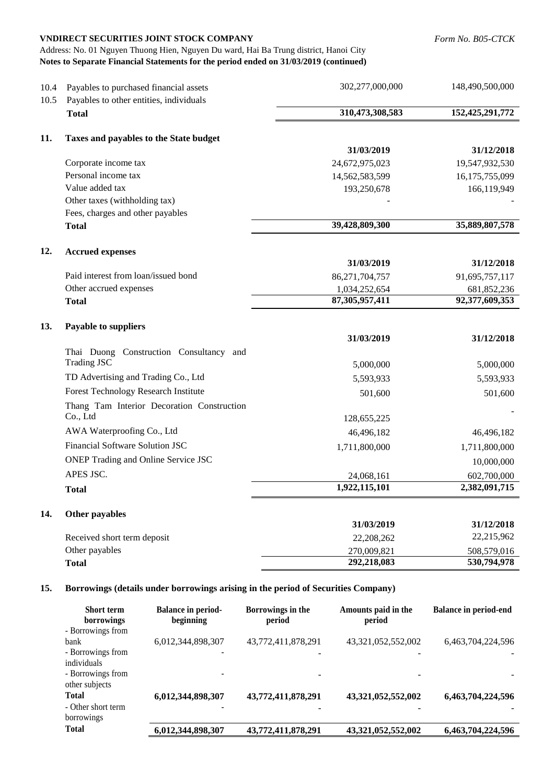|      | VNDIRECT SECURITIES JOINT STOCK COMPANY<br>Address: No. 01 Nguyen Thuong Hien, Nguyen Du ward, Hai Ba Trung district, Hanoi City<br>Notes to Separate Financial Statements for the period ended on 31/03/2019 (continued) |                            | Form No. B05-CTCK          |
|------|---------------------------------------------------------------------------------------------------------------------------------------------------------------------------------------------------------------------------|----------------------------|----------------------------|
| 10.4 | Payables to purchased financial assets                                                                                                                                                                                    | 302,277,000,000            | 148,490,500,000            |
| 10.5 | Payables to other entities, individuals                                                                                                                                                                                   |                            |                            |
|      | <b>Total</b>                                                                                                                                                                                                              | 310,473,308,583            | 152, 425, 291, 772         |
| 11.  | Taxes and payables to the State budget                                                                                                                                                                                    |                            |                            |
|      |                                                                                                                                                                                                                           | 31/03/2019                 | 31/12/2018                 |
|      | Corporate income tax                                                                                                                                                                                                      | 24,672,975,023             | 19,547,932,530             |
|      | Personal income tax                                                                                                                                                                                                       | 14,562,583,599             | 16,175,755,099             |
|      | Value added tax                                                                                                                                                                                                           | 193,250,678                | 166,119,949                |
|      | Other taxes (withholding tax)                                                                                                                                                                                             |                            |                            |
|      | Fees, charges and other payables                                                                                                                                                                                          |                            |                            |
|      | <b>Total</b>                                                                                                                                                                                                              | 39,428,809,300             | 35,889,807,578             |
| 12.  | <b>Accrued expenses</b>                                                                                                                                                                                                   |                            |                            |
|      |                                                                                                                                                                                                                           | 31/03/2019                 | 31/12/2018                 |
|      | Paid interest from loan/issued bond                                                                                                                                                                                       | 86,271,704,757             | 91,695,757,117             |
|      | Other accrued expenses                                                                                                                                                                                                    | 1,034,252,654              | 681,852,236                |
|      | <b>Total</b>                                                                                                                                                                                                              | 87,305,957,411             | 92,377,609,353             |
| 13.  | <b>Payable to suppliers</b>                                                                                                                                                                                               |                            |                            |
|      |                                                                                                                                                                                                                           | 31/03/2019                 | 31/12/2018                 |
|      | Thai Duong Construction Consultancy and                                                                                                                                                                                   |                            |                            |
|      | <b>Trading JSC</b>                                                                                                                                                                                                        | 5,000,000                  | 5,000,000                  |
|      | TD Advertising and Trading Co., Ltd                                                                                                                                                                                       | 5,593,933                  | 5,593,933                  |
|      | Forest Technology Research Institute                                                                                                                                                                                      | 501,600                    | 501,600                    |
|      | Thang Tam Interior Decoration Construction                                                                                                                                                                                |                            |                            |
|      | Co., Ltd                                                                                                                                                                                                                  | 128,655,225                |                            |
|      | AWA Waterproofing Co., Ltd                                                                                                                                                                                                | 46,496,182                 | 46,496,182                 |
|      | Financial Software Solution JSC                                                                                                                                                                                           | 1,711,800,000              | 1,711,800,000              |
|      | ONEP Trading and Online Service JSC                                                                                                                                                                                       |                            | 10,000,000                 |
|      | APES JSC.                                                                                                                                                                                                                 | 24,068,161                 | 602,700,000                |
|      | <b>Total</b>                                                                                                                                                                                                              | 1,922,115,101              | 2,382,091,715              |
|      |                                                                                                                                                                                                                           |                            |                            |
| 14.  | Other payables                                                                                                                                                                                                            |                            |                            |
|      |                                                                                                                                                                                                                           | 31/03/2019                 | 31/12/2018                 |
|      | Received short term deposit                                                                                                                                                                                               | 22,208,262                 | 22,215,962                 |
|      | Other payables<br><b>Total</b>                                                                                                                                                                                            | 270,009,821<br>292,218,083 | 508,579,016<br>530,794,978 |
|      |                                                                                                                                                                                                                           |                            |                            |
| 15.  | Borrowings (details under borrowings arising in the period of Securities Company)                                                                                                                                         |                            |                            |

| <b>Short term</b><br>borrowings<br>- Borrowings from | <b>Balance in period-</b><br>beginning | Borrowings in the<br>period | Amounts paid in the<br>period | <b>Balance in period-end</b> |
|------------------------------------------------------|----------------------------------------|-----------------------------|-------------------------------|------------------------------|
| bank<br>- Borrowings from<br>individuals             | 6,012,344,898,307                      | 43,772,411,878,291          | 43,321,052,552,002            | 6,463,704,224,596            |
| - Borrowings from<br>other subjects                  |                                        |                             |                               |                              |
| <b>Total</b><br>- Other short term<br>borrowings     | 6,012,344,898,307                      | 43,772,411,878,291          | 43,321,052,552,002            | 6,463,704,224,596            |
| <b>Total</b>                                         | 6,012,344,898,307                      | 43,772,411,878,291          | 43,321,052,552,002            | 6,463,704,224,596            |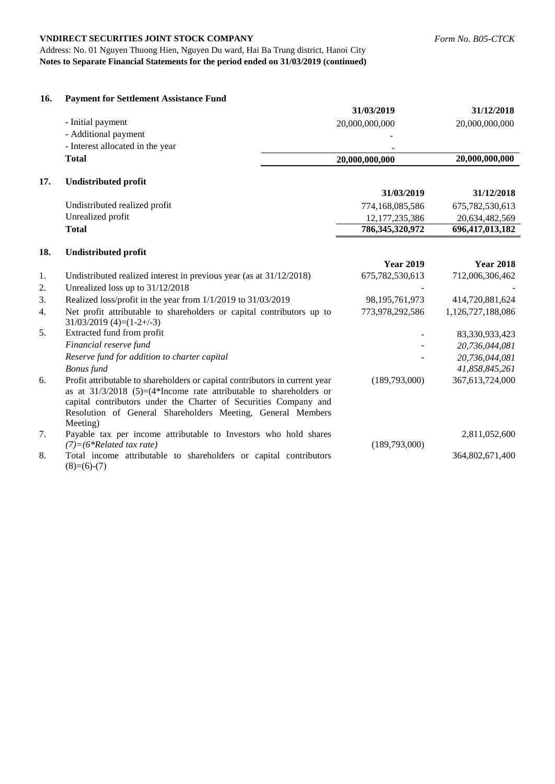Address: No. 01 Nguyen Thuong Hien, Nguyen Du ward, Hai Ba Trung district, Hanoi City **Notes to Separate Financial Statements for the period ended on 31/03/2019 (continued)**

**16. Payment for Settlement Assistance Fund**

|     |                                                                                                                                                                                                                                                                                        | 31/03/2019        | 31/12/2018        |
|-----|----------------------------------------------------------------------------------------------------------------------------------------------------------------------------------------------------------------------------------------------------------------------------------------|-------------------|-------------------|
|     | - Initial payment                                                                                                                                                                                                                                                                      | 20,000,000,000    | 20,000,000,000    |
|     | - Additional payment                                                                                                                                                                                                                                                                   |                   |                   |
|     | - Interest allocated in the year                                                                                                                                                                                                                                                       |                   |                   |
|     | <b>Total</b>                                                                                                                                                                                                                                                                           | 20,000,000,000    | 20,000,000,000    |
| 17. | <b>Undistributed profit</b>                                                                                                                                                                                                                                                            |                   |                   |
|     |                                                                                                                                                                                                                                                                                        | 31/03/2019        | 31/12/2018        |
|     | Undistributed realized profit                                                                                                                                                                                                                                                          | 774,168,085,586   | 675,782,530,613   |
|     | Unrealized profit                                                                                                                                                                                                                                                                      | 12,177,235,386    | 20,634,482,569    |
|     | <b>Total</b>                                                                                                                                                                                                                                                                           | 786,345,320,972   | 696,417,013,182   |
| 18. | <b>Undistributed profit</b>                                                                                                                                                                                                                                                            |                   |                   |
|     |                                                                                                                                                                                                                                                                                        | <b>Year 2019</b>  | <b>Year 2018</b>  |
| 1.  | Undistributed realized interest in previous year (as at 31/12/2018)                                                                                                                                                                                                                    | 675,782,530,613   | 712,006,306,462   |
| 2.  | Unrealized loss up to 31/12/2018                                                                                                                                                                                                                                                       |                   |                   |
| 3.  | Realized loss/profit in the year from 1/1/2019 to 31/03/2019                                                                                                                                                                                                                           | 98, 195, 761, 973 | 414,720,881,624   |
| 4.  | Net profit attributable to shareholders or capital contributors up to                                                                                                                                                                                                                  | 773,978,292,586   | 1,126,727,188,086 |
|     | $31/03/2019$ (4)=(1-2+/-3)                                                                                                                                                                                                                                                             |                   |                   |
| 5.  | Extracted fund from profit                                                                                                                                                                                                                                                             |                   | 83,330,933,423    |
|     | Financial reserve fund                                                                                                                                                                                                                                                                 |                   | 20,736,044,081    |
|     | Reserve fund for addition to charter capital                                                                                                                                                                                                                                           |                   | 20,736,044,081    |
|     | <b>Bonus</b> fund                                                                                                                                                                                                                                                                      |                   | 41,858,845,261    |
| 6.  | Profit attributable to shareholders or capital contributors in current year<br>as at $31/3/2018$ (5)=(4*Income rate attributable to shareholders or<br>capital contributors under the Charter of Securities Company and<br>Resolution of General Shareholders Meeting, General Members | (189,793,000)     | 367,613,724,000   |
| 7.  | Meeting)<br>Payable tax per income attributable to Investors who hold shares                                                                                                                                                                                                           |                   | 2,811,052,600     |
|     | $(7) = (6 * Related tax rate)$                                                                                                                                                                                                                                                         | (189,793,000)     |                   |
| 8.  | Total income attributable to shareholders or capital contributors<br>$(8)=(6)-(7)$                                                                                                                                                                                                     |                   | 364,802,671,400   |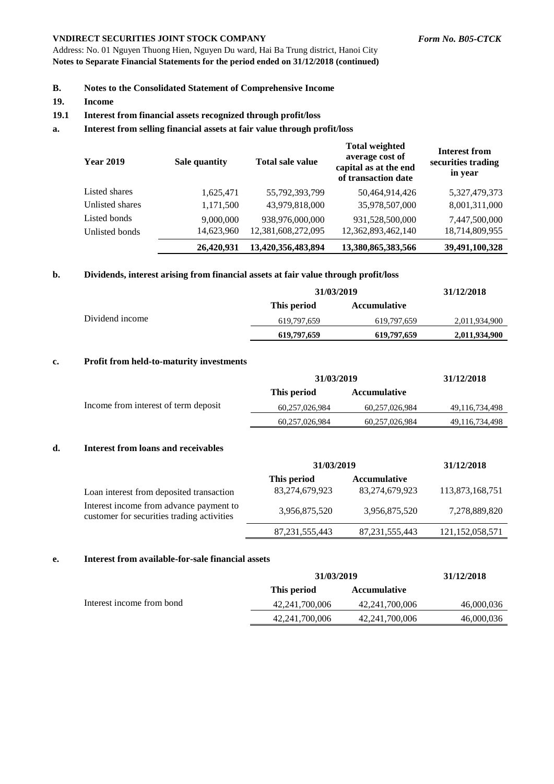Address: No. 01 Nguyen Thuong Hien, Nguyen Du ward, Hai Ba Trung district, Hanoi City **Notes to Separate Financial Statements for the period ended on 31/12/2018 (continued)**

- **B. Notes to the Consolidated Statement of Comprehensive Income**
- **19. Income**
- **19.1 Interest from financial assets recognized through profit/loss**
- **a. Interest from selling financial assets at fair value through profit/loss**

| <b>Year 2019</b> | Sale quantity | <b>Total sale value</b> | <b>Total weighted</b><br>average cost of<br>capital as at the end<br>of transaction date | <b>Interest from</b><br>securities trading<br>in year |
|------------------|---------------|-------------------------|------------------------------------------------------------------------------------------|-------------------------------------------------------|
| Listed shares    | 1,625,471     | 55,792,393,799          | 50,464,914,426                                                                           | 5,327,479,373                                         |
| Unlisted shares  | 1,171,500     | 43,979,818,000          | 35,978,507,000                                                                           | 8,001,311,000                                         |
| Listed bonds     | 9,000,000     | 938,976,000,000         | 931,528,500,000                                                                          | 7,447,500,000                                         |
| Unlisted bonds   | 14,623,960    | 12,381,608,272,095      | 12,362,893,462,140                                                                       | 18,714,809,955                                        |
|                  | 26,420,931    | 13,420,356,483,894      | 13,380,865,383,566                                                                       | 39,491,100,328                                        |

#### **b. Dividends, interest arising from financial assets at fair value through profit/loss**

|                 | 31/03/2019  |                     | 31/12/2018    |
|-----------------|-------------|---------------------|---------------|
|                 | This period | <b>Accumulative</b> |               |
| Dividend income | 619.797.659 | 619,797,659         | 2,011,934,900 |
|                 | 619,797,659 | 619,797,659         | 2,011,934,900 |

#### **c. Profit from held-to-maturity investments**

|                                      | 31/03/2019     |                | 31/12/2018        |
|--------------------------------------|----------------|----------------|-------------------|
|                                      | This period    | Accumulative   |                   |
| Income from interest of term deposit | 60.257.026.984 | 60.257.026.984 | 49, 116, 734, 498 |
|                                      | 60,257,026,984 | 60,257,026,984 | 49,116,734,498    |

### **d. Interest from loans and receivables**

|                                                                                       | 31/03/2019        |                     | 31/12/2018         |
|---------------------------------------------------------------------------------------|-------------------|---------------------|--------------------|
|                                                                                       | This period       | <b>Accumulative</b> |                    |
| Loan interest from deposited transaction                                              | 83,274,679,923    | 83,274,679,923      | 113,873,168,751    |
| Interest income from advance payment to<br>customer for securities trading activities | 3,956,875,520     | 3,956,875,520       | 7,278,889,820      |
|                                                                                       | 87, 231, 555, 443 | 87, 231, 555, 443   | 121, 152, 058, 571 |

#### **e. Interest from available-for-sale financial assets**

|                           | 31/03/2019     |                     | 31/12/2018 |
|---------------------------|----------------|---------------------|------------|
|                           | This period    | <b>Accumulative</b> |            |
| Interest income from bond | 42.241.700.006 | 42,241,700,006      | 46,000,036 |
|                           | 42,241,700,006 | 42,241,700,006      | 46,000,036 |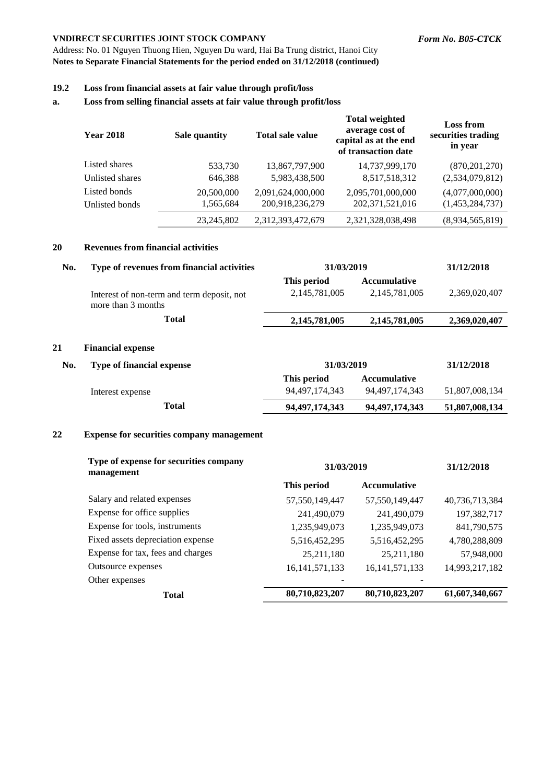Address: No. 01 Nguyen Thuong Hien, Nguyen Du ward, Hai Ba Trung district, Hanoi City **Notes to Separate Financial Statements for the period ended on 31/12/2018 (continued)**

#### **19.2 Loss from financial assets at fair value through profit/loss**

#### **a. Loss from selling financial assets at fair value through profit/loss**

| <b>Year 2018</b> | <b>Sale quantity</b> | <b>Total sale value</b> | <b>Total weighted</b><br>average cost of<br>capital as at the end<br>of transaction date | <b>Loss from</b><br>securities trading<br>in year |
|------------------|----------------------|-------------------------|------------------------------------------------------------------------------------------|---------------------------------------------------|
| Listed shares    | 533,730              | 13,867,797,900          | 14,737,999,170                                                                           | (870, 201, 270)                                   |
| Unlisted shares  | 646,388              | 5,983,438,500           | 8,517,518,312                                                                            | (2,534,079,812)                                   |
| Listed bonds     | 20,500,000           | 2,091,624,000,000       | 2,095,701,000,000                                                                        | (4,077,000,000)                                   |
| Unlisted bonds   | 1,565,684            | 200,918,236,279         | 202, 371, 521, 016                                                                       | (1,453,284,737)                                   |
|                  | 23,245,802           | 2,312,393,472,679       | 2,321,328,038,498                                                                        | (8,934,565,819)                                   |

#### **20 Revenues from financial activities**

| No. | Type of revenues from financial activities                       | 31/03/2019     | 31/12/2018          |                |
|-----|------------------------------------------------------------------|----------------|---------------------|----------------|
|     |                                                                  | This period    | <b>Accumulative</b> |                |
|     | Interest of non-term and term deposit, not<br>more than 3 months | 2,145,781,005  | 2,145,781,005       | 2,369,020,407  |
|     | <b>Total</b>                                                     | 2,145,781,005  | 2,145,781,005       | 2,369,020,407  |
| 21  | <b>Financial expense</b>                                         |                |                     |                |
| No. | <b>Type of financial expense</b>                                 | 31/03/2019     |                     | 31/12/2018     |
|     |                                                                  | This period    | <b>Accumulative</b> |                |
|     | Interest expense                                                 | 94,497,174,343 | 94.497.174.343      | 51,807,008,134 |
|     | <b>Total</b>                                                     | 94.497.174.343 | 94,497,174,343      | 51,807,008,134 |

#### **22 Expense for securities company management**

| Type of expense for securities company<br>management | 31/03/2019        | 31/12/2018          |                |
|------------------------------------------------------|-------------------|---------------------|----------------|
|                                                      | This period       | <b>Accumulative</b> |                |
| Salary and related expenses                          | 57,550,149,447    | 57, 550, 149, 447   | 40,736,713,384 |
| Expense for office supplies                          | 241,490,079       | 241,490,079         | 197,382,717    |
| Expense for tools, instruments                       | 1,235,949,073     | 1,235,949,073       | 841,790,575    |
| Fixed assets depreciation expense                    | 5,516,452,295     | 5,516,452,295       | 4,780,288,809  |
| Expense for tax, fees and charges                    | 25,211,180        | 25,211,180          | 57,948,000     |
| Outsource expenses                                   | 16, 141, 571, 133 | 16, 141, 571, 133   | 14,993,217,182 |
| Other expenses                                       |                   |                     |                |
| <b>Total</b>                                         | 80,710,823,207    | 80,710,823,207      | 61,607,340,667 |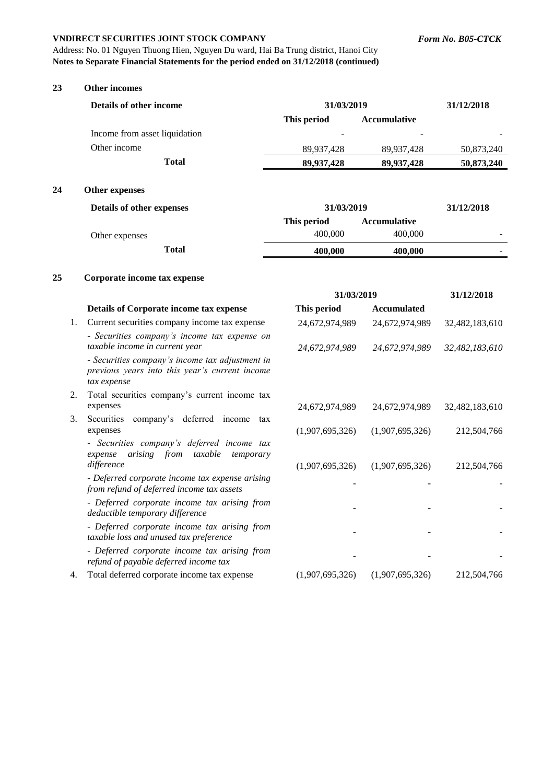**31/03/2019 31/12/2018**

### Address: No. 01 Nguyen Thuong Hien, Nguyen Du ward, Hai Ba Trung district, Hanoi City **Notes to Separate Financial Statements for the period ended on 31/12/2018 (continued)**

| 23 | <b>Other incomes</b>          |                        |                                |            |
|----|-------------------------------|------------------------|--------------------------------|------------|
|    | Details of other income       | 31/03/2019             |                                | 31/12/2018 |
|    |                               | This period            | <b>Accumulative</b>            |            |
|    | Income from asset liquidation |                        |                                |            |
|    | Other income                  | 89,937,428             | 89,937,428                     | 50,873,240 |
|    | <b>Total</b>                  | 89,937,428             | 89,937,428                     | 50,873,240 |
| 24 | Other expenses                |                        |                                |            |
|    | Details of other expenses     | 31/03/2019             |                                | 31/12/2018 |
|    | Other expenses                | This period<br>400,000 | <b>Accumulative</b><br>400,000 |            |
|    | <b>Total</b>                  | 400,000                | 400,000                        |            |
| 25 | Corporate income tax expense  |                        |                                |            |

# **25 Corporate income tax expense**

|    | Details of Corporate income tax expense                                                                          | This period     | Accumulated     |                |
|----|------------------------------------------------------------------------------------------------------------------|-----------------|-----------------|----------------|
| 1. | Current securities company income tax expense                                                                    | 24,672,974,989  | 24,672,974,989  | 32,482,183,610 |
|    | - Securities company's income tax expense on<br>taxable income in current year                                   | 24,672,974,989  | 24,672,974,989  | 32,482,183,610 |
|    | - Securities company's income tax adjustment in<br>previous years into this year's current income<br>tax expense |                 |                 |                |
| 2. | Total securities company's current income tax                                                                    |                 |                 |                |
|    | expenses                                                                                                         | 24,672,974,989  | 24,672,974,989  | 32,482,183,610 |
| 3. | Securities company's deferred income<br>tax                                                                      |                 |                 |                |
|    | expenses                                                                                                         | (1,907,695,326) | (1,907,695,326) | 212,504,766    |
|    | - Securities company's deferred income tax<br><i>arising from</i><br>taxable<br>expense<br>temporary             |                 |                 |                |
|    | difference                                                                                                       | (1,907,695,326) | (1,907,695,326) | 212,504,766    |
|    | - Deferred corporate income tax expense arising<br>from refund of deferred income tax assets                     |                 |                 |                |
|    | - Deferred corporate income tax arising from<br>deductible temporary difference                                  |                 |                 |                |
|    | - Deferred corporate income tax arising from<br>taxable loss and unused tax preference                           |                 |                 |                |
|    | - Deferred corporate income tax arising from<br>refund of payable deferred income tax                            |                 |                 |                |
| 4. | Total deferred corporate income tax expense                                                                      | (1,907,695,326) | (1,907,695,326) | 212,504,766    |
|    |                                                                                                                  |                 |                 |                |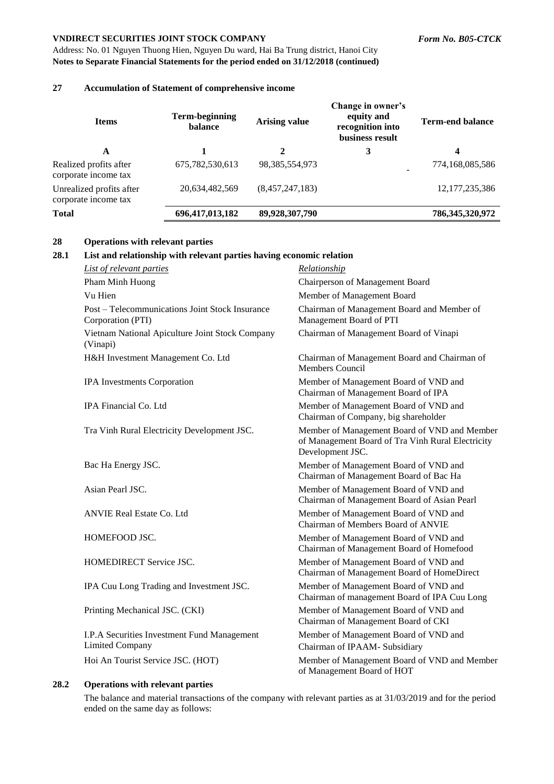Address: No. 01 Nguyen Thuong Hien, Nguyen Du ward, Hai Ba Trung district, Hanoi City **Notes to Separate Financial Statements for the period ended on 31/12/2018 (continued)**

#### **27 Accumulation of Statement of comprehensive income**

| <b>Items</b>                                     | <b>Term-beginning</b><br>balance | Change in owner's<br>equity and<br><b>Arising value</b><br>recognition into<br>business result |   | <b>Term-end balance</b> |  |
|--------------------------------------------------|----------------------------------|------------------------------------------------------------------------------------------------|---|-------------------------|--|
| A                                                |                                  | 2                                                                                              | 3 | 4                       |  |
| Realized profits after<br>corporate income tax   | 675,782,530,613                  | 98, 385, 554, 973                                                                              |   | 774,168,085,586         |  |
| Unrealized profits after<br>corporate income tax | 20,634,482,569                   | (8,457,247,183)                                                                                |   | 12, 177, 235, 386       |  |
| <b>Total</b>                                     | 696,417,013,182                  | 89,928,307,790                                                                                 |   | 786,345,320,972         |  |

#### **28 Operations with relevant parties**

# **28.1 List and relationship with relevant parties having economic relation**

| <b>List of relevant parties</b>                                       | Relationship                                                                                                          |
|-----------------------------------------------------------------------|-----------------------------------------------------------------------------------------------------------------------|
| Pham Minh Huong                                                       | Chairperson of Management Board                                                                                       |
| Vu Hien                                                               | Member of Management Board                                                                                            |
| Post – Telecommunications Joint Stock Insurance<br>Corporation (PTI)  | Chairman of Management Board and Member of<br>Management Board of PTI                                                 |
| Vietnam National Apiculture Joint Stock Company<br>(Vinapi)           | Chairman of Management Board of Vinapi                                                                                |
| H&H Investment Management Co. Ltd                                     | Chairman of Management Board and Chairman of<br><b>Members Council</b>                                                |
| <b>IPA</b> Investments Corporation                                    | Member of Management Board of VND and<br>Chairman of Management Board of IPA                                          |
| IPA Financial Co. Ltd                                                 | Member of Management Board of VND and<br>Chairman of Company, big shareholder                                         |
| Tra Vinh Rural Electricity Development JSC.                           | Member of Management Board of VND and Member<br>of Management Board of Tra Vinh Rural Electricity<br>Development JSC. |
| Bac Ha Energy JSC.                                                    | Member of Management Board of VND and<br>Chairman of Management Board of Bac Ha                                       |
| Asian Pearl JSC.                                                      | Member of Management Board of VND and<br>Chairman of Management Board of Asian Pearl                                  |
| <b>ANVIE Real Estate Co. Ltd</b>                                      | Member of Management Board of VND and<br>Chairman of Members Board of ANVIE                                           |
| HOMEFOOD JSC.                                                         | Member of Management Board of VND and<br>Chairman of Management Board of Homefood                                     |
| HOMEDIRECT Service JSC.                                               | Member of Management Board of VND and<br>Chairman of Management Board of HomeDirect                                   |
| IPA Cuu Long Trading and Investment JSC.                              | Member of Management Board of VND and<br>Chairman of management Board of IPA Cuu Long                                 |
| Printing Mechanical JSC. (CKI)                                        | Member of Management Board of VND and<br>Chairman of Management Board of CKI                                          |
| I.P.A Securities Investment Fund Management<br><b>Limited Company</b> | Member of Management Board of VND and<br>Chairman of IPAAM- Subsidiary                                                |
| Hoi An Tourist Service JSC. (HOT)                                     | Member of Management Board of VND and Member<br>of Management Board of HOT                                            |

#### **28.2 Operations with relevant parties**

The balance and material transactions of the company with relevant parties as at 31/03/2019 and for the period ended on the same day as follows: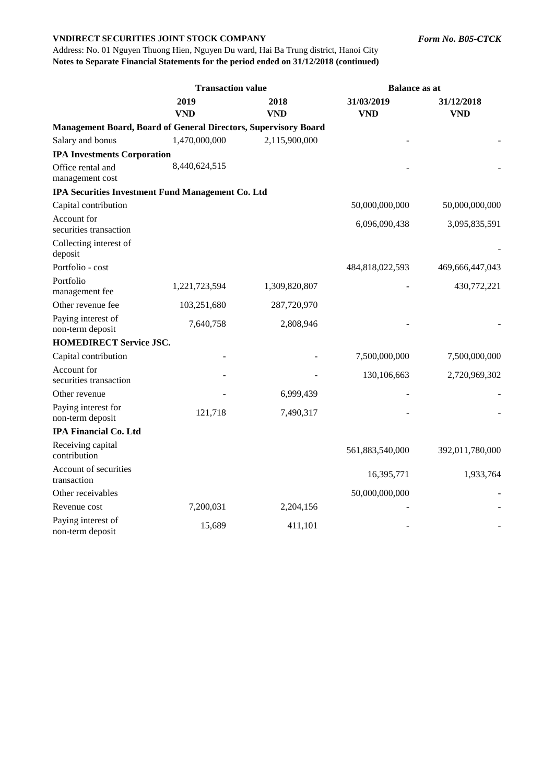Address: No. 01 Nguyen Thuong Hien, Nguyen Du ward, Hai Ba Trung district, Hanoi City **Notes to Separate Financial Statements for the period ended on 31/12/2018 (continued)**

|                                                                 | <b>Transaction value</b> |               | <b>Balance as at</b> |                 |  |
|-----------------------------------------------------------------|--------------------------|---------------|----------------------|-----------------|--|
|                                                                 | 2019                     | 2018          | 31/03/2019           | 31/12/2018      |  |
|                                                                 | <b>VND</b>               | <b>VND</b>    | <b>VND</b>           | <b>VND</b>      |  |
| Management Board, Board of General Directors, Supervisory Board |                          |               |                      |                 |  |
| Salary and bonus                                                | 1,470,000,000            | 2,115,900,000 |                      |                 |  |
| <b>IPA Investments Corporation</b>                              |                          |               |                      |                 |  |
| Office rental and<br>management cost                            | 8,440,624,515            |               |                      |                 |  |
| <b>IPA Securities Investment Fund Management Co. Ltd</b>        |                          |               |                      |                 |  |
| Capital contribution                                            |                          |               | 50,000,000,000       | 50,000,000,000  |  |
| Account for<br>securities transaction                           |                          |               | 6,096,090,438        | 3,095,835,591   |  |
| Collecting interest of<br>deposit                               |                          |               |                      |                 |  |
| Portfolio - cost                                                |                          |               | 484,818,022,593      | 469,666,447,043 |  |
| Portfolio<br>management fee                                     | 1,221,723,594            | 1,309,820,807 |                      | 430,772,221     |  |
| Other revenue fee                                               | 103,251,680              | 287,720,970   |                      |                 |  |
| Paying interest of<br>non-term deposit                          | 7,640,758                | 2,808,946     |                      |                 |  |
| <b>HOMEDIRECT Service JSC.</b>                                  |                          |               |                      |                 |  |
| Capital contribution                                            |                          |               | 7,500,000,000        | 7,500,000,000   |  |
| Account for<br>securities transaction                           |                          |               | 130,106,663          | 2,720,969,302   |  |
| Other revenue                                                   |                          | 6,999,439     |                      |                 |  |
| Paying interest for<br>non-term deposit                         | 121,718                  | 7,490,317     |                      |                 |  |
| <b>IPA Financial Co. Ltd</b>                                    |                          |               |                      |                 |  |
| Receiving capital<br>contribution                               |                          |               | 561,883,540,000      | 392,011,780,000 |  |
| Account of securities<br>transaction                            |                          |               | 16,395,771           | 1,933,764       |  |
| Other receivables                                               |                          |               | 50,000,000,000       |                 |  |
| Revenue cost                                                    | 7,200,031                | 2,204,156     |                      |                 |  |
| Paying interest of<br>non-term deposit                          | 15,689                   | 411,101       |                      |                 |  |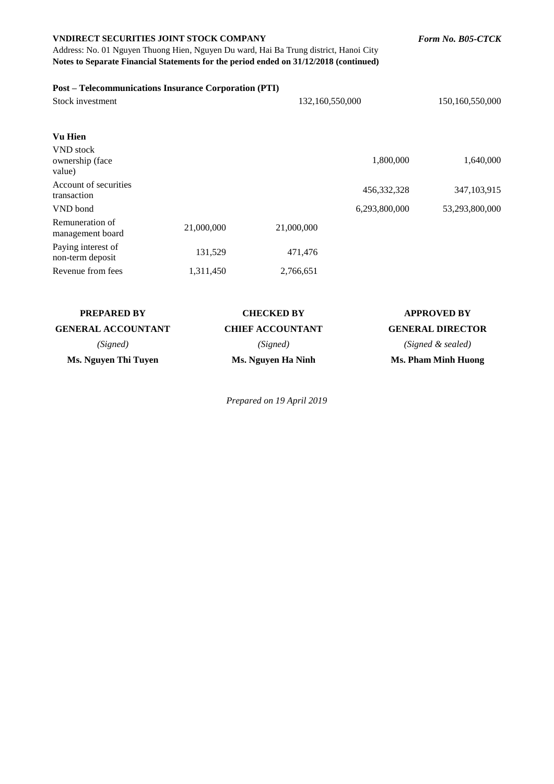| VNDIRECT SECURITIES JOINT STOCK COMPANY<br>Address: No. 01 Nguyen Thuong Hien, Nguyen Du ward, Hai Ba Trung district, Hanoi City<br>Notes to Separate Financial Statements for the period ended on 31/12/2018 (continued) | <b>Form No. B05-CTCK</b> |                 |               |                 |
|---------------------------------------------------------------------------------------------------------------------------------------------------------------------------------------------------------------------------|--------------------------|-----------------|---------------|-----------------|
| <b>Post – Telecommunications Insurance Corporation (PTI)</b>                                                                                                                                                              |                          |                 |               |                 |
| Stock investment                                                                                                                                                                                                          |                          | 132,160,550,000 |               | 150,160,550,000 |
| <b>Vu Hien</b>                                                                                                                                                                                                            |                          |                 |               |                 |
| <b>VND</b> stock<br>ownership (face<br>value)                                                                                                                                                                             |                          |                 | 1,800,000     | 1,640,000       |
| Account of securities<br>transaction                                                                                                                                                                                      |                          |                 | 456, 332, 328 | 347, 103, 915   |
| VND bond                                                                                                                                                                                                                  |                          |                 | 6,293,800,000 | 53,293,800,000  |
| Remuneration of<br>management board                                                                                                                                                                                       | 21,000,000               | 21,000,000      |               |                 |
| Paying interest of<br>non-term deposit                                                                                                                                                                                    | 131,529                  | 471,476         |               |                 |
| Revenue from fees                                                                                                                                                                                                         | 1,311,450                | 2,766,651       |               |                 |

| <b>PREPARED BY</b>        | <b>CHECKED BY</b>       | <b>APPROVED BY</b>      |
|---------------------------|-------------------------|-------------------------|
| <b>GENERAL ACCOUNTANT</b> | <b>CHIEF ACCOUNTANT</b> | <b>GENERAL DIRECTOR</b> |
| (Signed)                  | (Signed)                | (Signed & sealed)       |
| Ms. Nguyen Thi Tuyen      | Ms. Nguyen Ha Ninh      | Ms. Pham Minh Huong     |

*Prepared on 19 April 2019*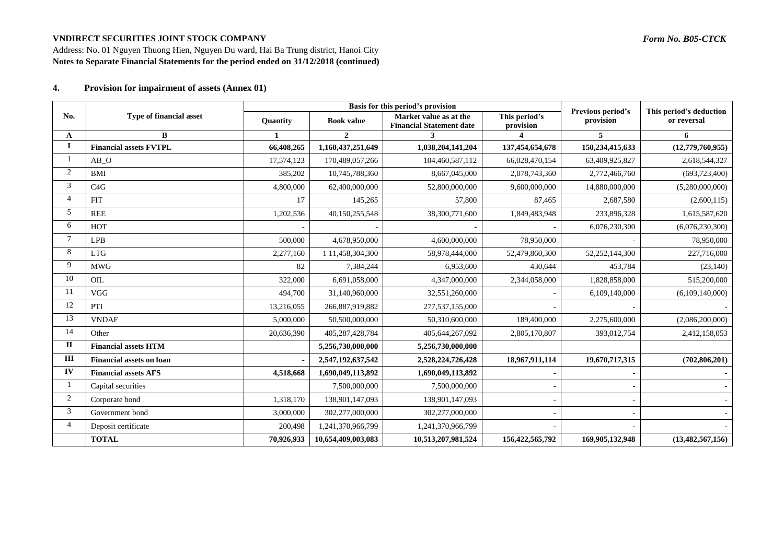Address: No. 01 Nguyen Thuong Hien, Nguyen Du ward, Hai Ba Trung district, Hanoi City **Notes to Separate Financial Statements for the period ended on 31/12/2018 (continued)**

#### **4. Provision for impairment of assets (Annex 01)**

|                |                                 | Basis for this period's provision |                    |                                                           |                            | Previous period's | This period's deduction |
|----------------|---------------------------------|-----------------------------------|--------------------|-----------------------------------------------------------|----------------------------|-------------------|-------------------------|
| No.            | <b>Type of financial asset</b>  | <b>Quantity</b>                   | <b>Book value</b>  | Market value as at the<br><b>Financial Statement date</b> | This period's<br>provision | provision         | or reversal             |
| A              | B                               |                                   | $\mathbf{2}$       | 3                                                         |                            | 5                 | 6                       |
| I              | <b>Financial assets FVTPL</b>   | 66,408,265                        | 1,160,437,251,649  | 1,038,204,141,204                                         | 137,454,654,678            | 150,234,415,633   | (12,779,760,955)        |
|                | $AB_O$                          | 17,574,123                        | 170,489,057,266    | 104,460,587,112                                           | 66,028,470,154             | 63,409,925,827    | 2,618,544,327           |
| $\overline{2}$ | <b>BMI</b>                      | 385,202                           | 10,745,788,360     | 8,667,045,000                                             | 2,078,743,360              | 2,772,466,760     | (693,723,400)           |
| 3              | C <sub>4</sub> G                | 4,800,000                         | 62,400,000,000     | 52,800,000,000                                            | 9,600,000,000              | 14,880,000,000    | (5,280,000,000)         |
| $\overline{4}$ | <b>FIT</b>                      | 17                                | 145,265            | 57,800                                                    | 87,465                     | 2,687,580         | (2,600,115)             |
| 5              | <b>REE</b>                      | 1,202,536                         | 40,150,255,548     | 38,300,771,600                                            | 1,849,483,948              | 233,896,328       | 1,615,587,620           |
| 6              | HOT                             |                                   |                    |                                                           |                            | 6,076,230,300     | (6,076,230,300)         |
| 7              | <b>LPB</b>                      | 500,000                           | 4,678,950,000      | 4,600,000,000                                             | 78,950,000                 |                   | 78,950,000              |
| 8              | <b>LTG</b>                      | 2,277,160                         | 1 11,458,304,300   | 58,978,444,000                                            | 52,479,860,300             | 52,252,144,300    | 227,716,000             |
| 9              | <b>MWG</b>                      | 82                                | 7,384,244          | 6,953,600                                                 | 430,644                    | 453,784           | (23, 140)               |
| 10             | OIL                             | 322,000                           | 6,691,058,000      | 4,347,000,000                                             | 2,344,058,000              | 1,828,858,000     | 515,200,000             |
| 11             | <b>VGG</b>                      | 494,700                           | 31,140,960,000     | 32,551,260,000                                            |                            | 6,109,140,000     | (6,109,140,000)         |
| 12             | PTI                             | 13,216,055                        | 266,887,919,882    | 277,537,155,000                                           |                            |                   |                         |
| 13             | <b>VNDAF</b>                    | 5,000,000                         | 50,500,000,000     | 50,310,600,000                                            | 189,400,000                | 2,275,600,000     | (2,086,200,000)         |
| 14             | Other                           | 20,636,390                        | 405,287,428,784    | 405, 644, 267, 092                                        | 2,805,170,807              | 393,012,754       | 2,412,158,053           |
| $\mathbf{I}$   | <b>Financial assets HTM</b>     |                                   | 5,256,730,000,000  | 5,256,730,000,000                                         |                            |                   |                         |
| III            | <b>Financial assets on loan</b> |                                   | 2,547,192,637,542  | 2,528,224,726,428                                         | 18,967,911,114             | 19,670,717,315    | (702, 806, 201)         |
| IV             | <b>Financial assets AFS</b>     | 4,518,668                         | 1,690,049,113,892  | 1,690,049,113,892                                         |                            |                   |                         |
|                | Capital securities              |                                   | 7,500,000,000      | 7,500,000,000                                             |                            |                   |                         |
| 2              | Corporate bond                  | 1,318,170                         | 138,901,147,093    | 138,901,147,093                                           |                            |                   |                         |
| 3              | Government bond                 | 3,000,000                         | 302,277,000,000    | 302,277,000,000                                           |                            |                   |                         |
| 4              | Deposit certificate             | 200,498                           | 1,241,370,966,799  | 1,241,370,966,799                                         |                            |                   |                         |
|                | <b>TOTAL</b>                    | 70,926,933                        | 10,654,409,003,083 | 10,513,207,981,524                                        | 156, 422, 565, 792         | 169,905,132,948   | (13, 482, 567, 156)     |